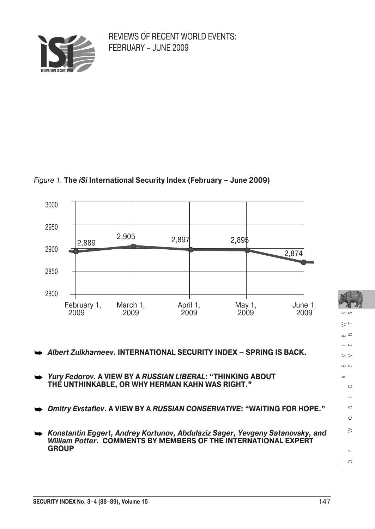

REVIEWS OF RECENT WORLD EVENTS: FEBRUARY – JUNE 2009

## *Figure 1.* **The** *iSi* **International Security Index (February – June 2009)**

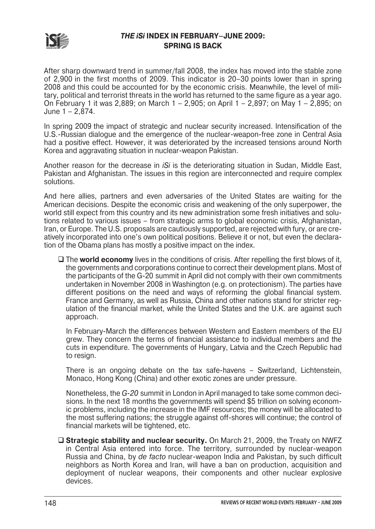

#### *THE iSi* **INDEX IN FEBRUARY–JUNE 2009: SPRING IS BACK**

After sharp downward trend in summer/fall 2008, the index has moved into the stable zone of 2,900 in the first months of 2009. This indicator is 20–30 points lower than in spring 2008 and this could be accounted for by the economic crisis. Meanwhile, the level of mili tary, political and terrorist threats in the world has returned to the same figure as a year ago. On February 1 it was 2,889; on March 1 – 2,905; on April 1 – 2,897; on May 1 – 2,895; on June 1 – 2,874.

In spring 2009 the impact of strategic and nuclear security increased. Intensification of the U.S.-Russian dialogue and the emergence of the nuclear-weapon-free zone in Central Asia had a positive effect. However, it was deteriorated by the increased tensions around North Korea and aggravating situation in nuclear-weapon Pakistan.

Another reason for the decrease in *iSi* is the deteriorating situation in Sudan, Middle East, Pakistan and Afghanistan. The issues in this region are interconnected and require complex solutions.

And here allies, partners and even adversaries of the United States are waiting for the American decisions. Despite the economic crisis and weakening of the only superpower, the world still expect from this country and its new administration some fresh initiatives and solu tions related to various issues – from strategic arms to global economic crisis, Afghanistan, Iran, or Europe. The U.S. proposals are cautiously supported, are rejected with fury, or are cre atively incorporated into one's own political positions. Believe it or not, but even the declara tion of the Obama plans has mostly a positive impact on the index.

 $\Box$  The world economy lives in the conditions of crisis. After repelling the first blows of it, the governments and corporations continue to correct their development plans. Most of the participants of the G-20 summit in April did not comply with their own commitments undertaken in November 2008 in Washington (e.g. on protectionism). The parties have different positions on the need and ways of reforming the global financial system. France and Germany, as well as Russia, China and other nations stand for stricter reg ulation of the financial market, while the United States and the U.K. are against such approach.

In February-March the differences between Western and Eastern members of the EU grew. They concern the terms of financial assistance to individual members and the cuts in expenditure. The governments of Hungary, Latvia and the Czech Republic had to resign.

There is an ongoing debate on the tax safe-havens – Switzerland, Lichtenstein, Monaco, Hong Kong (China) and other exotic zones are under pressure.

Nonetheless, the *G-20* summit in London in April managed to take some common deci sions. In the next 18 months the governments will spend \$5 trillion on solving econom ic problems, including the increase in the IMF resources; the money will be allocated to the most suffering nations; the struggle against off-shores will continue; the control of financial markets will be tightened, etc.

□ Strategic stability and nuclear security. On March 21, 2009, the Treaty on NWFZ in Central Asia entered into force. The territory, surrounded by nuclear-weapon Russia and China, by *de facto* nuclear-weapon India and Pakistan, by such difficult neighbors as North Korea and Iran, will have a ban on production, acquisition and deployment of nuclear weapons, their components and other nuclear explosive devices.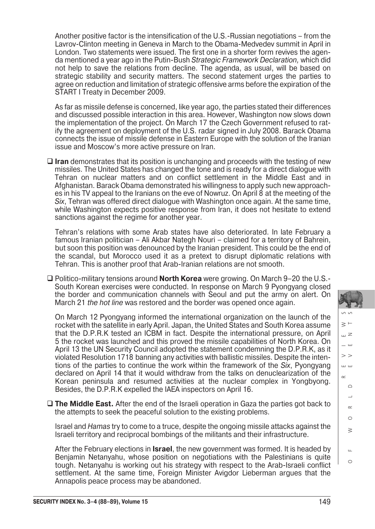Another positive factor is the intensification of the U.S.-Russian negotiations – from the Lavrov-Clinton meeting in Geneva in March to the Obama-Medvedev summit in April in London. Two statements were issued. The first one in a shorter form revives the agen da mentioned a year ago in the Putin-Bush *Strategic Framework Declaration,* which did not help to save the relations from decline. The agenda, as usual, will be based on strategic stability and security matters. The second statement urges the parties to agree on reduction and limitation of strategic offensive arms before the expiration of the START I Treaty in December 2009.

As far as missile defense is concerned, like year ago, the parties stated their differences and discussed possible interaction in this area. However, Washington now slows down the implementation of the project. On March 17 the Czech Government refused to ratify the agreement on deployment of the U.S. radar signed in July 2008. Barack Obama connects the issue of missile defense in Eastern Europe with the solution of the Iranian issue and Moscow's more active pressure on Iran.

□ Iran demonstrates that its position is unchanging and proceeds with the testing of new missiles. The United States has changed the tone and is ready for a direct dialogue with Tehran on nuclear matters and on conflict settlement in the Middle East and in Afghanistan. Barack Obama demonstrated his willingness to apply such new approaches in his TV appeal to the Iranians on the eve of Nowruz. On April 8 at the meeting of the *Six*, Tehran was offered direct dialogue with Washington once again. At the same time, while Washington expects positive response from Iran, it does not hesitate to extend sanctions against the regime for another year.

Tehran's relations with some Arab states have also deteriorated. In late February a famous Iranian politician – Ali Akbar Nategh Nouri – claimed for a territory of Bahrein, but soon this position was denounced by the Iranian president. This could be the end of the scandal, but Morocco used it as a pretext to disrupt diplomatic relations with Tehran. This is another proof that Arab-Iranian relations are not smooth.

□ Politico-military tensions around **North Korea** were growing. On March 9-20 the U.S.-South Korean exercises were conducted. In response on March 9 Pyongyang closed the border and communication channels with Seoul and put the army on alert. On March 21 *the hot line* was restored and the border was opened once again.

On March 12 Pyongyang informed the international organization on the launch of the rocket with the satellite in early April. Japan, the United States and South Korea assume that the D.P.R.K tested an ICBM in fact. Despite the international pressure, on April 5 the rocket was launched and this proved the missile capabilities of North Korea. On April 13 the UN Security Council adopted the statement condemning the D.P.R.K, as it violated Resolution 1718 banning any activities with ballistic missiles. Despite the intentions of the parties to continue the work within the framework of the *Six*, Pyongyang declared on April 14 that it would withdraw from the talks on denuclearization of the Korean peninsula and resumed activities at the nuclear complex in Yongbyong. Besides, the D.P.R.K expelled the IAEA inspectors on April 16.

- **The Middle East.** After the end of the Israeli operation in Gaza the parties got back to the attempts to seek the peaceful solution to the existing problems.

Israel and *Hamas* try to come to a truce, despite the ongoing missile attacks against the Israeli territory and reciprocal bombings of the militants and their infrastructure.

After the February elections in **Israel**, the new government was formed. It is headed by Benjamin Netanyahu, whose position on negotiations with the Palestinians is quite tough. Netanyahu is working out his strategy with respect to the Arab-Israeli conflict settlement. At the same time, Foreign Minister Avigdor Lieberman argues that the Annapolis peace process may be abandoned.

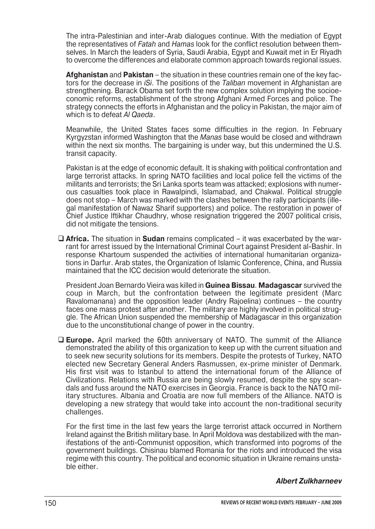The intra-Palestinian and inter-Arab dialogues continue. With the mediation of Egypt the representatives of *Fatah* and *Hamas* look for the conflict resolution between them selves. In March the leaders of Syria, Saudi Arabia, Egypt and Kuwait met in Er Riyadh to overcome the differences and elaborate common approach towards regional issues.

**Afghanistan** and **Pakistan** – the situation in these countries remain one of the key fac tors for the decrease in *iSi*. The positions of the *Taliban* movement in Afghanistan are strengthening. Barack Obama set forth the new complex solution implying the socioe conomic reforms, establishment of the strong Afghani Armed Forces and police. The strategy connects the efforts in Afghanistan and the policy in Pakistan, the major aim of which is to defeat *Al Qaeda*.

Meanwhile, the United States faces some difficulties in the region. In February Kyrgyzstan informed Washington that the *Manas* base would be closed and withdrawn within the next six months. The bargaining is under way, but this undermined the U.S. transit capacity.

Pakistan is at the edge of economic default. It is shaking with political confrontation and large terrorist attacks. In spring NATO facilities and local police fell the victims of the militants and terrorists; the Sri Lanka sports team was attacked; explosions with numerous casualties took place in Rawalpindi, Islamabad, and Chakwal. Political struggle does not stop – March was marked with the clashes between the rally participants (ille gal manifestation of Nawaz Sharif supporters) and police. The restoration in power of Chief Justice Iftikhar Chaudhry, whose resignation triggered the 2007 political crisis, did not mitigate the tensions.

□ Africa. The situation in Sudan remains complicated – it was exacerbated by the warrant for arrest issued by the International Criminal Court against President al-Bashir. In response Khartoum suspended the activities of international humanitarian organizations in Darfur. Arab states, the Organization of Islamic Conference, China, and Russia maintained that the ICC decision would deteriorate the situation.

President Joan Bernardo Vieira was killed in **Guinea Bissau**. **Madagascar** survived the coup in March, but the confrontation between the legitimate president (Marc Ravalomanana) and the opposition leader (Andry Rajoelina) continues – the country faces one mass protest after another. The military are highly involved in political strug gle. The African Union suspended the membership of Madagascar in this organization due to the unconstitutional change of power in the country.

- **Europe.** April marked the 60th anniversary of NATO. The summit of the Alliance demonstrated the ability of this organization to keep up with the current situation and to seek new security solutions for its members. Despite the protests of Turkey, NATO elected new Secretary General Anders Rasmussen, ex-prime minister of Denmark. His first visit was to Istanbul to attend the international forum of the Alliance of Civilizations. Relations with Russia are being slowly resumed, despite the spy scan dals and fuss around the NATO exercises in Georgia. France is back to the NATO mil itary structures. Albania and Croatia are now full members of the Alliance. NATO is developing a new strategy that would take into account the non-traditional security challenges.

For the first time in the last few years the large terrorist attack occurred in Northern Ireland against the British military base. In April Moldova was destabilized with the man ifestations of the anti-Communist opposition, which transformed into pogroms of the government buildings. Chisinau blamed Romania for the riots and introduced the visa regime with this country. The political and economic situation in Ukraine remains unsta ble either.

*Albert Zulkharneev*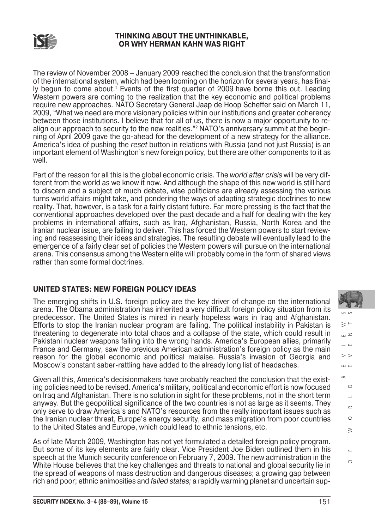

#### **THINKING ABOUT THE UNTHINKABLE, OR WHY HERMAN KAHN WAS RIGHT**

The review of November 2008 – January 2009 reached the conclusion that the transformation of the international system, which had been looming on the horizon for several years, has final ly begun to come about.1 Events of the first quarter of 2009 have borne this out. Leading Western powers are coming to the realization that the key economic and political problems require new approaches. NATO Secretary General Jaap de Hoop Scheffer said on March 11, 2009, "What we need are more visionary policies within our institutions and greater coherency between those institutions. I believe that for all of us, there is now a major opportunity to realign our approach to security to the new realities."<sup>2</sup> NATO's anniversary summit at the beginning of April 2009 gave the go-ahead for the development of a new strategy for the alliance. America's idea of pushing the *reset* button in relations with Russia (and not just Russia) is an important element of Washington's new foreign policy, but there are other components to it as well.

Part of the reason for all this is the global economic crisis. The *world after crisis* will be very dif ferent from the world as we know it now. And although the shape of this new world is still hard to discern and a subject of much debate, wise politicians are already assessing the various turns world affairs might take, and pondering the ways of adapting strategic doctrines to new reality. That, however, is a task for a fairly distant future. Far more pressing is the fact that the conventional approaches developed over the past decade and a half for dealing with the key problems in international affairs, such as Iraq, Afghanistan, Russia, North Korea and the Iranian nuclear issue, are failing to deliver. This has forced the Western powers to start review ing and reassessing their ideas and strategies. The resulting debate will eventually lead to the emergence of a fairly clear set of policies the Western powers will pursue on the international arena. This consensus among the Western elite will probably come in the form of shared views rather than some formal doctrines.

## **UNITED STATES: NEW FOREIGN POLICY IDEAS**

The emerging shifts in U.S. foreign policy are the key driver of change on the international arena. The Obama administration has inherited a very difficult foreign policy situation from its predecessor. The United States is mired in nearly hopeless wars in Iraq and Afghanistan. Efforts to stop the Iranian nuclear program are failing. The political instability in Pakistan is threatening to degenerate into total chaos and a collapse of the state, which could result in Pakistani nuclear weapons falling into the wrong hands. America's European allies, primarily France and Germany, saw the previous American administration's foreign policy as the main reason for the global economic and political malaise. Russia's invasion of Georgia and Moscow's constant saber-rattling have added to the already long list of headaches.

Given all this, America's decisionmakers have probably reached the conclusion that the exist ing policies need to be revised. America's military, political and economic effort is now focused on Iraq and Afghanistan. There is no solution in sight for these problems, not in the short term anyway. But the geopolitical significance of the two countries is not as large as it seems. They only serve to draw America's and NATO's resources from the really important issues such as the Iranian nuclear threat, Europe's energy security, and mass migration from poor countries to the United States and Europe, which could lead to ethnic tensions, etc.

As of late March 2009, Washington has not yet formulated a detailed foreign policy program. But some of its key elements are fairly clear. Vice President Joe Biden outlined them in his speech at the Munich security conference on February 7, 2009. The new administration in the White House believes that the key challenges and threats to national and global security lie in the spread of weapons of mass destruction and dangerous diseases; a growing gap between rich and poor; ethnic animosities and *failed states;* a rapidly warming planet and uncertain sup-

REVIEWS  $\overline{a}$ OF WORLD EVENTS $\geq$  +  $\mathbb{Z}$  $=$   $\mu$  $\geq$ **DOM:**  $\alpha$  $\bigcirc$ ÷.  $\alpha$  $\circ$  $\geq$  $\mathbf{H}$  $\cap$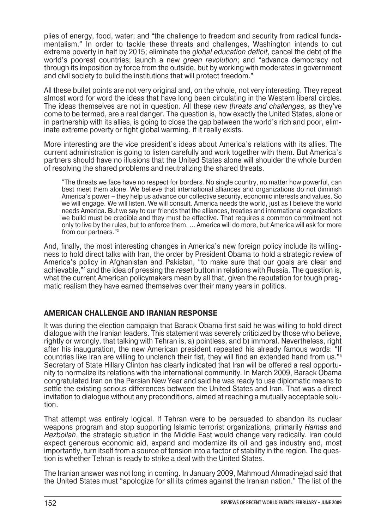plies of energy, food, water; and "the challenge to freedom and security from radical funda mentalism." In order to tackle these threats and challenges, Washington intends to cut extreme poverty in half by 2015; eliminate the *global education deficit*, cancel the debt of the world's poorest countries; launch a new *green revolution*; and "advance democracy not through its imposition by force from the outside, but by working with moderates in government and civil society to build the institutions that will protect freedom."

All these bullet points are not very original and, on the whole, not very interesting. They repeat almost word for word the ideas that have long been circulating in the Western liberal circles. The ideas themselves are not in question. All these *new threats and challenges*, as they've come to be termed, are a real danger. The question is, how exactly the United States, alone or in partnership with its allies, is going to close the gap between the world's rich and poor, elim inate extreme poverty or fight global warming, if it really exists.

More interesting are the vice president's ideas about America's relations with its allies. The current administration is going to listen carefully and work together with them. But America's partners should have no illusions that the United States alone will shoulder the whole burden of resolving the shared problems and neutralizing the shared threats.

"The threats we face have no respect for borders. No single country, no matter how powerful, can best meet them alone. We believe that international alliances and organizations do not diminish America's power – they help us advance our collective security, economic interests and values. So we will engage. We will listen. We will consult. America needs the world, just as I believe the world needs America. But we say to our friends that the alliances, treaties and international organizations we build must be credible and they must be effective. That requires a common commitment not only to live by the rules, but to enforce them. … America will do more, but America will ask for more from our partners."3

And, finally, the most interesting changes in America's new foreign policy include its willing ness to hold direct talks with Iran, the order by President Obama to hold a strategic review of America's policy in Afghanistan and Pakistan, "to make sure that our goals are clear and achievable,"4 and the idea of pressing the *reset* button in relations with Russia. The question is, what the current American policymakers mean by all that, given the reputation for tough pragmatic realism they have earned themselves over their many years in politics.

#### **AMERICAN CHALLENGE AND IRANIAN RESPONSE**

It was during the election campaign that Barack Obama first said he was willing to hold direct dialogue with the Iranian leaders. This statement was severely criticized by those who believe, rightly or wrongly, that talking with Tehran is, a) pointless, and b) immoral. Nevertheless, right after his inauguration, the new American president repeated his already famous words: "If countries like Iran are willing to unclench their fist, they will find an extended hand from us."5 Secretary of State Hillary Clinton has clearly indicated that Iran will be offered a real opportu nity to normalize its relations with the international community. In March 2009, Barack Obama congratulated Iran on the Persian New Year and said he was ready to use diplomatic means to settle the existing serious differences between the United States and Iran. That was a direct invitation to dialogue without any preconditions, aimed at reaching a mutually acceptable solu tion.

That attempt was entirely logical. If Tehran were to be persuaded to abandon its nuclear weapons program and stop supporting Islamic terrorist organizations, primarily *Hamas* and *Hezbollah*, the strategic situation in the Middle East would change very radically. Iran could expect generous economic aid, expand and modernize its oil and gas industry and, most importantly, turn itself from a source of tension into a factor of stability in the region. The ques tion is whether Tehran is ready to strike a deal with the United States.

The Iranian answer was not long in coming. In January 2009, Mahmoud Ahmadinejad said that the United States must "apologize for all its crimes against the Iranian nation." The list of the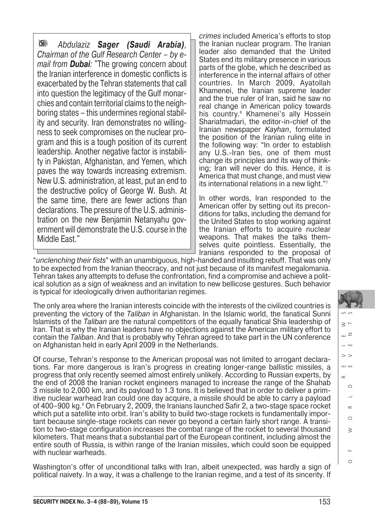谣 *Abdulaziz Sager (Saudi Arabia), Chairman of the Gulf Research Center – by email from Dubai:* "The growing concern about the Iranian interference in domestic conflicts is exacerbated by the Tehran statements that call into question the legitimacy of the Gulf monar chies and contain territorial claims to the neighboring states – this undermines regional stabil ity and security. Iran demonstrates no willingness to seek compromises on the nuclear program and this is a tough position of its current leadership. Another negative factor is instabili ty in Pakistan, Afghanistan, and Yemen, which paves the way towards increasing extremism. New U.S. administration, at least, put an end to the destructive policy of George W. Bush. At the same time, there are fewer actions than declarations. The pressure of the U.S. administration on the new Benjamin Netanyahu government will demonstrate the U.S. course in the Middle East."

*crimes* included America's efforts to stop the Iranian nuclear program. The Iranian leader also demanded that the United States end its military presence in various parts of the globe, which he described as interference in the internal affairs of other countries. In March 2009, Ayatollah Khamenei, the Iranian supreme leader and the true ruler of Iran, said he saw no real change in American policy towards his country.<sup>6</sup> Khamenei's ally Hossein Shariatmadari, the editor-in-chief of the Iranian newspaper *Kayhan*, formulated the position of the Iranian ruling elite in the following way: "In order to establish any U.S.-Iran ties, one of them must change its principles and its way of think ing; Iran will never do this. Hence, it is America that must change, and must view its international relations in a new light."7

In other words, Iran responded to the American offer by setting out its preconditions for talks, including the demand for the United States to stop working against the Iranian efforts to acquire nuclear weapons. That makes the talks them selves quite pointless. Essentially, the Iranians responded to the proposal of

"*unclenching their fists*" with an unambiguous, high-handed and insulting rebuff. That was only to be expected from the Iranian theocracy, and not just because of its manifest megalomania. Tehran takes any attempts to defuse the confrontation, find a compromise and achieve a polit ical solution as a sign of weakness and an invitation to new bellicose gestures. Such behavior is typical for ideologically driven authoritarian regimes.

The only area where the Iranian interests coincide with the interests of the civilized countries is preventing the victory of the *Taliban* in Afghanistan. In the Islamic world, the fanatical Sunni Islamists of the *Taliban* are the natural competitors of the equally fanatical Shia leadership of Iran. That is why the Iranian leaders have no objections against the American military effort to contain the *Taliban*. And that is probably why Tehran agreed to take part in the UN conference on Afghanistan held in early April 2009 in the Netherlands.

Of course, Tehran's response to the American proposal was not limited to arrogant declarations. Far more dangerous is Iran's progress in creating longer-range ballistic missiles, a progress that only recently seemed almost entirely unlikely. According to Russian experts, by the end of 2008 the Iranian rocket engineers managed to increase the range of the Shahab 3 missile to 2,000 km, and its payload to 1.3 tons. It is believed that in order to deliver a prim itive nuclear warhead Iran could one day acquire, a missile should be able to carry a payload of 400–900 kg.<sup>8</sup> On February 2, 2009, the Iranians launched Safir 2, a two-stage space rocket which put a satellite into orbit. Iran's ability to build two-stage rockets is fundamentally impor tant because single-stage rockets can never go beyond a certain fairly short range. A transition to two-stage configuration increases the combat range of the rocket to several thousand kilometers. That means that a substantial part of the European continent, including almost the entire south of Russia, is within range of the Iranian missiles, which could soon be equipped with nuclear warheads.

Washington's offer of unconditional talks with Iran, albeit unexpected, was hardly a sign of political naivety. In a way, it was a challenge to the Iranian regime, and a test of its sincerity. If

REVIEWS OF WORLD EVENTS  $\geq$   $\vdash$  $\mathbb{Z}$  $=$   $\mu$  $>$ шш.<br>Ш  $\simeq$  $\bigcirc$  $\alpha$  $\circ$  $\geq$  $\mathbf{H}$  $\cap$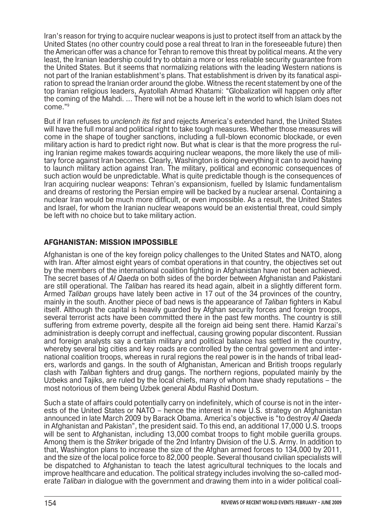Iran's reason for trying to acquire nuclear weapons is just to protect itself from an attack by the United States (no other country could pose a real threat to Iran in the foreseeable future) then the American offer was a chance for Tehran to remove this threat by political means. At the very least, the Iranian leadership could try to obtain a more or less reliable security guarantee from the United States. But it seems that normalizing relations with the leading Western nations is not part of the Iranian establishment's plans. That establishment is driven by its fanatical aspiration to spread the Iranian order around the globe. Witness the recent statement by one of the top Iranian religious leaders, Ayatollah Ahmad Khatami: "Globalization will happen only after the coming of the Mahdi. … There will not be a house left in the world to which Islam does not come."9

But if Iran refuses to *unclench its fist* and rejects America's extended hand, the United States will have the full moral and political right to take tough measures. Whether those measures will come in the shape of tougher sanctions, including a full-blown economic blockade, or even military action is hard to predict right now. But what is clear is that the more progress the rul ing Iranian regime makes towards acquiring nuclear weapons, the more likely the use of military force against Iran becomes. Clearly, Washington is doing everything it can to avoid having to launch military action against Iran. The military, political and economic consequences of such action would be unpredictable. What is quite predictable though is the consequences of Iran acquiring nuclear weapons: Tehran's expansionism, fuelled by Islamic fundamentalism and dreams of restoring the Persian empire will be backed by a nuclear arsenal. Containing a nuclear Iran would be much more difficult, or even impossible. As a result, the United States and Israel, for whom the Iranian nuclear weapons would be an existential threat, could simply be left with no choice but to take military action.

## **AFGHANISTAN: MISSION IMPOSSIBLE**

Afghanistan is one of the key foreign policy challenges to the United States and NATO, along with Iran. After almost eight years of combat operations in that country, the objectives set out by the members of the international coalition fighting in Afghanistan have not been achieved. The secret bases of *Al Qaeda* on both sides of the border between Afghanistan and Pakistani are still operational. The *Taliban* has reared its head again, albeit in a slightly different form. Armed *Taliban* groups have lately been active in 17 out of the 34 provinces of the country, mainly in the south. Another piece of bad news is the appearance of *Taliban* fighters in Kabul itself. Although the capital is heavily guarded by Afghan security forces and foreign troops, several terrorist acts have been committed there in the past few months. The country is still suffering from extreme poverty, despite all the foreign aid being sent there. Hamid Karzai's administration is deeply corrupt and ineffectual, causing growing popular discontent. Russian and foreign analysts say a certain military and political balance has settled in the country, whereby several big cities and key roads are controlled by the central government and inter national coalition troops, whereas in rural regions the real power is in the hands of tribal lead ers, warlords and gangs. In the south of Afghanistan, American and British troops regularly clash with *Taliban* fighters and drug gangs. The northern regions, populated mainly by the Uzbeks and Tajiks, are ruled by the local chiefs, many of whom have shady reputations – the most notorious of them being Uzbek general Abdul Rashid Dostum.

Such a state of affairs could potentially carry on indefinitely, which of course is not in the inter ests of the United States or NATO – hence the interest in new U.S. strategy on Afghanistan announced in late March 2009 by Barack Obama. America's objective is "to destroy *Al Qaeda* in Afghanistan and Pakistan", the president said. To this end, an additional 17,000 U.S. troops will be sent to Afghanistan, including 13,000 combat troops to fight mobile guerilla groups. Among them is the *Striker* brigade of the 2nd Infantry Division of the U.S. Army. In addition to that, Washington plans to increase the size of the Afghan armed forces to 134,000 by 2011, and the size of the local police force to 82,000 people. Several thousand civilian specialists will be dispatched to Afghanistan to teach the latest agricultural techniques to the locals and improve healthcare and education. The political strategy includes involving the so-called mod erate *Taliban* in dialogue with the government and drawing them into in a wider political coali-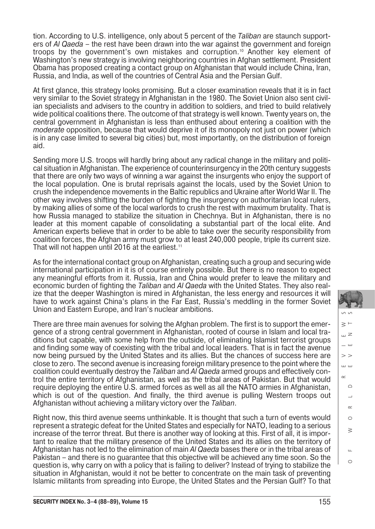tion. According to U.S. intelligence, only about 5 percent of the *Taliban* are staunch support ers of *Al Qaeda* – the rest have been drawn into the war against the government and foreign troops by the government's own mistakes and corruption.10 Another key element of Washington's new strategy is involving neighboring countries in Afghan settlement. President Obama has proposed creating a contact group on Afghanistan that would include China, Iran, Russia, and India, as well of the countries of Central Asia and the Persian Gulf.

At first glance, this strategy looks promising. But a closer examination reveals that it is in fact very similar to the Soviet strategy in Afghanistan in the 1980. The Soviet Union also sent civil ian specialists and advisers to the country in addition to soldiers, and tried to build relatively wide political coalitions there. The outcome of that strategy is well known. Twenty years on, the central government in Afghanistan is less than enthused about entering a coalition with the *moderate* opposition, because that would deprive it of its monopoly not just on power (which is in any case limited to several big cities) but, most importantly, on the distribution of foreign aid.

Sending more U.S. troops will hardly bring about any radical change in the military and political situation in Afghanistan. The experience of counterinsurgency in the 20th century suggests that there are only two ways of winning a war against the insurgents who enjoy the support of the local population. One is brutal reprisals against the locals, used by the Soviet Union to crush the independence movements in the Baltic republics and Ukraine after World War II. The other way involves shifting the burden of fighting the insurgency on authoritarian local rulers, by making allies of some of the local warlords to crush the rest with maximum brutality. That is how Russia managed to stabilize the situation in Chechnya. But in Afghanistan, there is no leader at this moment capable of consolidating a substantial part of the local elite. And American experts believe that in order to be able to take over the security responsibility from coalition forces, the Afghan army must grow to at least 240,000 people, triple its current size. That will not happen until 2016 at the earliest.<sup>11</sup>

As for the international contact group on Afghanistan, creating such a group and securing wide international participation in it is of course entirely possible. But there is no reason to expect any meaningful efforts from it. Russia, Iran and China would prefer to leave the military and economic burden of fighting the *Taliban* and *Al Qaeda* with the United States. They also real ize that the deeper Washington is mired in Afghanistan, the less energy and resources it will have to work against China's plans in the Far East, Russia's meddling in the former Soviet Union and Eastern Europe, and Iran's nuclear ambitions.

There are three main avenues for solving the Afghan problem. The first is to support the emer gence of a strong central government in Afghanistan, rooted of course in Islam and local tra ditions but capable, with some help from the outside, of eliminating Islamist terrorist groups and finding some way of coexisting with the tribal and local leaders. That is in fact the avenue now being pursued by the United States and its allies. But the chances of success here are close to zero. The second avenue is increasing foreign military presence to the point where the coalition could eventually destroy the *Taliban* and *Al Qaeda* armed groups and effectively con trol the entire territory of Afghanistan, as well as the tribal areas of Pakistan. But that would require deploying the entire U.S. armed forces as well as all the NATO armies in Afghanistan, which is out of the question. And finally, the third avenue is pulling Western troops out Afghanistan without achieving a military victory over the *Taliban*.

Right now, this third avenue seems unthinkable. It is thought that such a turn of events would represent a strategic defeat for the United States and especially for NATO, leading to a serious increase of the terror threat. But there is another way of looking at this. First of all, it is impor tant to realize that the military presence of the United States and its allies on the territory of Afghanistan has not led to the elimination of main *Al Qaeda* bases there or in the tribal areas of Pakistan – and there is no guarantee that this objective will be achieved any time soon. So the question is, why carry on with a policy that is failing to deliver? Instead of trying to stabilize the situation in Afghanistan, would it not be better to concentrate on the main task of preventing Islamic militants from spreading into Europe, the United States and the Persian Gulf? To that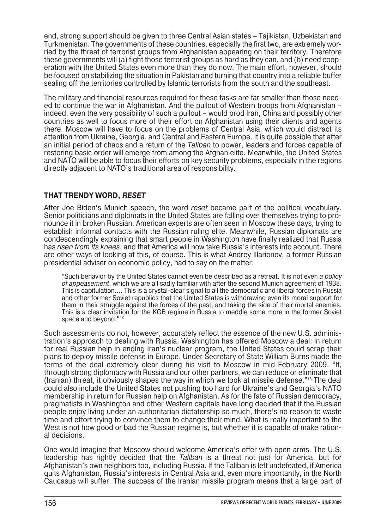end, strong support should be given to three Central Asian states – Tajikistan, Uzbekistan and Turkmenistan. The governments of these countries, especially the first two, are extremely wor ried by the threat of terrorist groups from Afghanistan appearing on their territory. Therefore these governments will (a) fight those terrorist groups as hard as they can, and (b) need coop eration with the United States even more than they do now. The main effort, however, should be focused on stabilizing the situation in Pakistan and turning that country into a reliable buffer sealing off the territories controlled by Islamic terrorists from the south and the southeast.

The military and financial resources required for these tasks are far smaller than those needed to continue the war in Afghanistan. And the pullout of Western troops from Afghanistan – indeed, even the very possibility of such a pullout – would prod Iran, China and possibly other countries as well to focus more of their effort on Afghanistan using their clients and agents there. Moscow will have to focus on the problems of Central Asia, which would distract its attention from Ukraine, Georgia, and Central and Eastern Europe. It is quite possible that after an initial period of chaos and a return of the *Taliban* to power, leaders and forces capable of restoring basic order will emerge from among the Afghan elite. Meanwhile, the United States and NATO will be able to focus their efforts on key security problems, especially in the regions directly adjacent to NATO's traditional area of responsibility.

## **THAT TRENDY WORD,** *RESET*

After Joe Biden's Munich speech, the word *reset* became part of the political vocabulary. Senior politicians and diplomats in the United States are falling over themselves trying to pro nounce it in broken Russian. American experts are often seen in Moscow these days, trying to establish informal contacts with the Russian ruling elite. Meanwhile, Russian diplomats are condescendingly explaining that smart people in Washington have finally realized that Russia has *risen from its knees*, and that America will now take Russia's interests into account. There are other ways of looking at this, of course. This is what Andrey Illarionov, a former Russian presidential adviser on economic policy, had to say on the matter:

"Such behavior by the United States cannot even be described as a retreat. It is not even *a policy of appeasement*, which we are all sadly familiar with after the second Munich agreement of 1938. This is capitulation.... This is a crystal-clear signal to all the democratic and liberal forces in Russia and other former Soviet republics that the United States is withdrawing even its moral support for them in their struggle against the forces of the past, and taking the side of their mortal enemies. This is a clear invitation for the KGB regime in Russia to meddle some more in the former Soviet space and beyond."<sup>12</sup>

Such assessments do not, however, accurately reflect the essence of the new U.S. adminis tration's approach to dealing with Russia. Washington has offered Moscow a deal: in return for real Russian help in ending Iran's nuclear program, the United States could scrap their plans to deploy missile defense in Europe. Under Secretary of State William Burns made the terms of the deal extremely clear during his visit to Moscow in mid-February 2009. "If, through strong diplomacy with Russia and our other partners, we can reduce or eliminate that (Iranian) threat, it obviously shapes the way in which we look at missile defense."13 The deal could also include the United States not pushing too hard for Ukraine's and Georgia's NATO membership in return for Russian help on Afghanistan. As for the fate of Russian democracy, pragmatists in Washington and other Western capitals have long decided that if the Russian people enjoy living under an authoritarian dictatorship so much, there's no reason to waste time and effort trying to convince them to change their mind. What is really important to the West is not how good or bad the Russian regime is, but whether it is capable of make ration al decisions.

One would imagine that Moscow should welcome America's offer with open arms. The U.S. leadership has rightly decided that the *Taliban* is a threat not just for America, but for Afghanistan's own neighbors too, including Russia. If the Taliban is left undefeated, if America quits Afghanistan, Russia's interests in Central Asia and, even more importantly, in the North Caucasus will suffer. The success of the Iranian missile program means that a large part of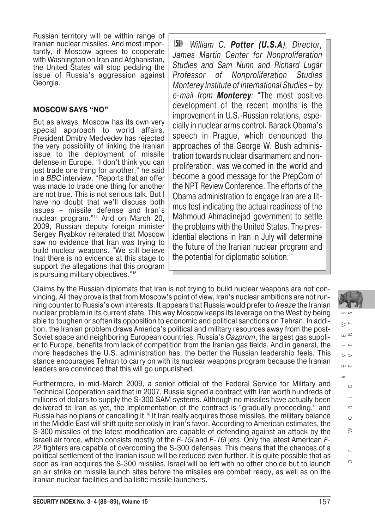Russian territory will be within range of Iranian nuclear missiles. And most importantly, if Moscow agrees to cooperate with Washington on Iran and Afghanistan, the United States will stop pedaling the issue of Russia's aggression against Georgia.

#### **MOSCOW SAYS "NO"**

But as always, Moscow has its own very special approach to world affairs. President Dmitry Medvedev has rejected the very possibility of linking the Iranian issue to the deployment of missile defense in Europe. "I don't think you can just trade one thing for another," he said in a *BBC* interview. "Reports that an offer was made to trade one thing for another are not true. This is not serious talk. But I have no doubt that we'll discuss both issues – missile defense and Iran's nuclear program."14 And on March 20, 2009, Russian deputy foreign minister Sergey Ryabkov reiterated that Moscow saw no evidence that Iran was trying to build nuclear weapons. "We still believe that there is no evidence at this stage to support the allegations that this program is pursuing military objectives."15

*William C. Potter (U.S.A), Director, James Martin Center for Nonproliferation Studies and Sam Nunn and Richard Lugar Professor of Nonproliferation Studies Monterey Institute of International Studies – by e-mail from Monterey:* "The most positive development of the recent months is the improvement in U.S.-Russian relations, espe cially in nuclear arms control. Barack Obama's speech in Prague, which denounced the approaches of the George W. Bush administration towards nuclear disarmament and nonproliferation, was welcomed in the world and become a good message for the PrepCom of the NPT Review Conference. The efforts of the Obama administration to engage Iran are a litmus test indicating the actual readiness of the Mahmoud Ahmadinejad government to settle the problems with the United States. The presidential elections in Iran in July will determine the future of the Iranian nuclear program and the potential for diplomatic solution."

Claims by the Russian diplomats that Iran is not trying to build nuclear weapons are not convincing. All they prove is that from Moscow's point of view, Iran's nuclear ambitions are not run ning counter to Russia's own interests. It appears that Russia would prefer to *freeze* the Iranian nuclear problem in its current state. This way Moscow keeps its leverage on the West by being able to toughen or soften its opposition to economic and political sanctions on Tehran. In addi tion, the Iranian problem draws America's political and military resources away from the post- Soviet space and neighboring European countries. Russia's *Gazprom*, the largest gas suppli er to Europe, benefits from lack of competition from the Iranian gas fields. And in general, the more headaches the U.S. administration has, the better the Russian leadership feels. This stance encourages Tehran to carry on with its nuclear weapons program because the Iranian leaders are convinced that this will go unpunished.

Furthermore, in mid-March 2009, a senior official of the Federal Service for Military and Technical Cooperation said that in 2007, Russia signed a contract with Iran worth hundreds of millions of dollars to supply the S-300 SAM systems. Although no missiles have actually been delivered to Iran as yet, the implementation of the contract is "gradually proceeding," and Russia has no plans of cancelling it.<sup>16</sup> If Iran really acquires those missiles, the military balance in the Middle East will shift quite seriously in Iran's favor. According to American estimates, the S-300 missiles of the latest modification are capable of defending against an attack by the Israeli air force, which consists mostly of the *F-15I* and *F-16I* jets. Only the latest American *F- 22* fighters are capable of overcoming the S-300 defenses. This means that the chances of a political settlement of the Iranian issue will be reduced even further. It is quite possible that as soon as Iran acquires the S-300 missiles, Israel will be left with no other choice but to launch an air strike on missile launch sites before the missiles are combat ready, as well as on the Iranian nuclear facilities and ballistic missile launchers.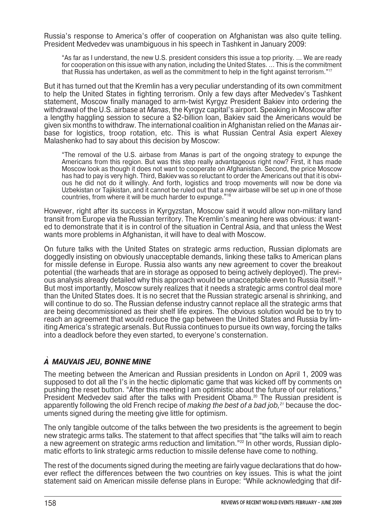Russia's response to America's offer of cooperation on Afghanistan was also quite telling. President Medvedev was unambiguous in his speech in Tashkent in January 2009:

"As far as I understand, the new U.S. president considers this issue a top priority. … We are ready for cooperation on this issue with any nation, including the United States. … This is the commitment that Russia has undertaken, as well as the commitment to help in the fight against terrorism."17

But it has turned out that the Kremlin has a very peculiar understanding of its own commitment to help the United States in fighting terrorism. Only a few days after Medvedev's Tashkent statement, Moscow finally managed to arm-twist Kyrgyz President Bakiev into ordering the withdrawal of the U.S. airbase at *Manas*, the Kyrgyz capital's airport. Speaking in Moscow after a lengthy haggling session to secure a \$2-billion loan, Bakiev said the Americans would be given six months to withdraw. The international coalition in Afghanistan relied on the *Manas* airbase for logistics, troop rotation, etc. This is what Russian Central Asia expert Alexey Malashenko had to say about this decision by Moscow:

"The removal of the U.S. airbase from *Manas* is part of the ongoing strategy to expunge the Americans from this region. But was this step really advantageous right now? First, it has made Moscow look as though it does not want to cooperate on Afghanistan. Second, the price Moscow has had to pay is very high. Third, Bakiev was so reluctant to order the Americans out that it is obvi ous he did not do it willingly. And forth, logistics and troop movements will now be done via Uzbekistan or Tajikistan, and it cannot be ruled out that a new airbase will be set up in one of those countries, from where it will be much harder to expunge."18

However, right after its success in Kyrgyzstan, Moscow said it would allow non-military land transit from Europe via the Russian territory. The Kremlin's meaning here was obvious: it want ed to demonstrate that it is in control of the situation in Central Asia, and that unless the West wants more problems in Afghanistan, it will have to deal with Moscow.

On future talks with the United States on strategic arms reduction, Russian diplomats are doggedly insisting on obviously unacceptable demands, linking these talks to American plans for missile defense in Europe. Russia also wants any new agreement to cover the breakout potential (the warheads that are in storage as opposed to being actively deployed). The previ ous analysis already detailed why this approach would be unacceptable even to Russia itself.<sup>19</sup> But most importantly, Moscow surely realizes that it needs a strategic arms control deal more than the United States does. It is no secret that the Russian strategic arsenal is shrinking, and will continue to do so. The Russian defense industry cannot replace all the strategic arms that are being decommissioned as their shelf life expires. The obvious solution would be to try to reach an agreement that would reduce the gap between the United States and Russia by lim iting America's strategic arsenals. But Russia continues to pursue its own way, forcing the talks into a deadlock before they even started, to everyone's consternation.

## *А*` *MAUVAIS JEU, BONNE MINE*

The meeting between the American and Russian presidents in London on April 1, 2009 was supposed to dot all the I's in the hectic diplomatic game that was kicked off by comments on pushing the reset button. "After this meeting I am optimistic about the future of our relations," President Medvedev said after the talks with President Obama.<sup>20</sup> The Russian president is apparently following the old French recipe of *making the best of a bad job,21* because the doc uments signed during the meeting give little for optimism.

The only tangible outcome of the talks between the two presidents is the agreement to begin new strategic arms talks. The statement to that affect specifies that "the talks will aim to reach a new agreement on strategic arms reduction and limitation."<sup>22</sup> In other words, Russian diplomatic efforts to link strategic arms reduction to missile defense have come to nothing.

The rest of the documents signed during the meeting are fairly vague declarations that do how ever reflect the differences between the two countries on key issues. This is what the joint statement said on American missile defense plans in Europe: "While acknowledging that dif-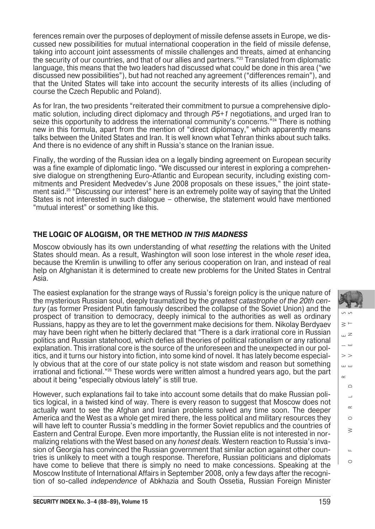ferences remain over the purposes of deployment of missile defense assets in Europe, we dis cussed new possibilities for mutual international cooperation in the field of missile defense, taking into account joint assessments of missile challenges and threats, aimed at enhancing the security of our countries, and that of our allies and partners."23 Translated from diplomatic language, this means that the two leaders had discussed what could be done in this area ("we discussed new possibilities"), but had not reached any agreement ("differences remain"), and that the United States will take into account the security interests of its allies (including of course the Czech Republic and Poland).

As for Iran, the two presidents "reiterated their commitment to pursue a comprehensive diplo matic solution, including direct diplomacy and through *P5+1* negotiations, and urged Iran to seize this opportunity to address the international community's concerns."<sup>24</sup> There is nothing new in this formula, apart from the mention of "direct diplomacy," which apparently means talks between the United States and Iran. It is well known what Tehran thinks about such talks. And there is no evidence of any shift in Russia's stance on the Iranian issue.

Finally, the wording of the Russian idea on a legally binding agreement on European security was a fine example of diplomatic lingo. "We discussed our interest in exploring a comprehen sive dialogue on strengthening Euro-Atlantic and European security, including existing commitments and President Medvedev's June 2008 proposals on these issues," the joint state ment said.25 "Discussing our interest" here is an extremely polite way of saying that the United States is not interested in such dialogue – otherwise, the statement would have mentioned "mutual interest" or something like this.

#### **THE LOGIC OF ALOGISM, OR THE METHOD** *IN THIS MADNESS*

Moscow obviously has its own understanding of what *resetting* the relations with the United States should mean. As a result, Washington will soon lose interest in the whole *reset* idea, because the Kremlin is unwilling to offer any serious cooperation on Iran, and instead of real help on Afghanistan it is determined to create new problems for the United States in Central Asia.

The easiest explanation for the strange ways of Russia's foreign policy is the unique nature of the mysterious Russian soul, deeply traumatized by the *greatest catastrophe of the 20th cen tury* (as former President Putin famously described the collapse of the Soviet Union) and the prospect of transition to democracy, deeply inimical to the authorities as well as ordinary Russians, happy as they are to let the government make decisions for them. Nikolay Berdyaev may have been right when he bitterly declared that "There is a dark irrational core in Russian politics and Russian statehood, which defies all theories of political rationalism or any rational explanation. This irrational core is the source of the unforeseen and the unexpected in our pol itics, and it turns our history into fiction, into some kind of novel. It has lately become especially obvious that at the core of our state policy is not state wisdom and reason but something irrational and fictional."26 These words were written almost a hundred years ago, but the part about it being "especially obvious lately" is still true.

However, such explanations fail to take into account some details that do make Russian poli tics logical, in a twisted kind of way. There is every reason to suggest that Moscow does not actually want to see the Afghan and Iranian problems solved any time soon. The deeper America and the West as a whole get mired there, the less political and military resources they will have left to counter Russia's meddling in the former Soviet republics and the countries of Eastern and Central Europe. Even more importantly, the Russian elite is not interested in nor malizing relations with the West based on any *honest deals*. Western reaction to Russia's inva sion of Georgia has convinced the Russian government that similar action against other coun tries is unlikely to meet with a tough response. Therefore, Russian politicians and diplomats have come to believe that there is simply no need to make concessions. Speaking at the Moscow Institute of International Affairs in September 2008, only a few days after the recogni tion of so-called *independence* of Abkhazia and South Ossetia, Russian Foreign Minister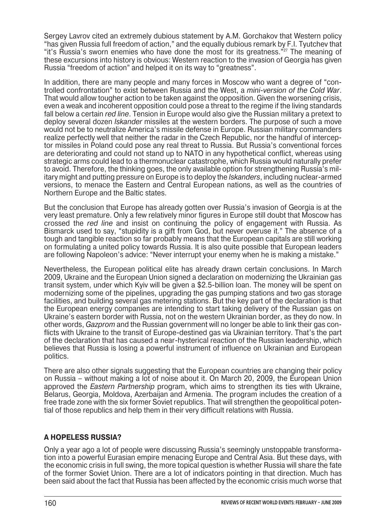Sergey Lavrov cited an extremely dubious statement by A.M. Gorchakov that Western policy "has given Russia full freedom of action," and the equally dubious remark by F.I. Tyutchev that "it's Russia's sworn enemies who have done the most for its greatness." $27$  The meaning of these excursions into history is obvious: Western reaction to the invasion of Georgia has given Russia "freedom of action" and helped it on its way to "greatness".

In addition, there are many people and many forces in Moscow who want a degree of "controlled confrontation" to exist between Russia and the West, a *mini-version of the Cold War*. That would allow tougher action to be taken against the opposition. Given the worsening crisis, even a weak and incoherent opposition could pose a threat to the regime if the living standards fall below a certain *red line*. Tension in Europe would also give the Russian military a pretext to deploy several dozen *Iskander* missiles at the western borders. The purpose of such a move would not be to neutralize America's missile defense in Europe. Russian military commanders realize perfectly well that neither the radar in the Czech Republic, nor the handful of intercep tor missiles in Poland could pose any real threat to Russia. But Russia's conventional forces are deteriorating and could not stand up to NATO in any hypothetical conflict, whereas using strategic arms could lead to a thermonuclear catastrophe, which Russia would naturally prefer to avoid. Therefore, the thinking goes, the only available option for strengthening Russia's military might and putting pressure on Europe is to deploy the *Iskanders*, including nuclear-armed versions, to menace the Eastern and Central European nations, as well as the countries of Northern Europe and the Baltic states.

But the conclusion that Europe has already gotten over Russia's invasion of Georgia is at the very least premature. Only a few relatively minor figures in Europe still doubt that Moscow has crossed the *red line* and insist on continuing the policy of engagement with Russia. As Bismarck used to say, "stupidity is a gift from God, but never overuse it." The absence of a tough and tangible reaction so far probably means that the European capitals are still working on formulating a united policy towards Russia. It is also quite possible that European leaders are following Napoleon's advice: "Never interrupt your enemy when he is making a mistake."

Nevertheless, the European political elite has already drawn certain conclusions. In March 2009, Ukraine and the European Union signed a declaration on modernizing the Ukrainian gas transit system, under which Kyiv will be given a \$2.5-billion loan. The money will be spent on modernizing some of the pipelines, upgrading the gas pumping stations and two gas storage facilities, and building several gas metering stations. But the key part of the declaration is that the European energy companies are intending to start taking delivery of the Russian gas on Ukraine's eastern border with Russia, not on the western Ukrainian border, as they do now. In other words, *Gazprom* and the Russian government will no longer be able to link their gas con flicts with Ukraine to the transit of Europe-destined gas via Ukrainian territory. That's the part of the declaration that has caused a near-hysterical reaction of the Russian leadership, which believes that Russia is losing a powerful instrument of influence on Ukrainian and European politics.

There are also other signals suggesting that the European countries are changing their policy on Russia – without making a lot of noise about it. On March 20, 2009, the European Union approved the *Eastern Partnership* program, which aims to strengthen its ties with Ukraine, Belarus, Georgia, Moldova, Azerbaijan and Armenia. The program includes the creation of a free trade zone with the six former Soviet republics. That will strengthen the geopolitical poten tial of those republics and help them in their very difficult relations with Russia.

## **A HOPELESS RUSSIA?**

Only a year ago a lot of people were discussing Russia's seemingly unstoppable transforma tion into a powerful Eurasian empire menacing Europe and Central Asia. But these days, with the economic crisis in full swing, the more topical question is whether Russia will share the fate of the former Soviet Union. There are a lot of indicators pointing in that direction. Much has been said about the fact that Russia has been affected by the economic crisis much worse that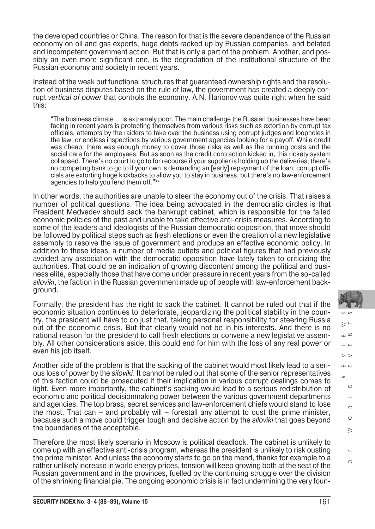the developed countries or China. The reason for that is the severe dependence of the Russian economy on oil and gas exports, huge debts racked up by Russian companies, and belated and incompetent government action. But that is only a part of the problem. Another, and possibly an even more significant one, is the degradation of the institutional structure of the Russian economy and society in recent years.

Instead of the weak but functional structures that guaranteed ownership rights and the resolu tion of business disputes based on the rule of law, the government has created a deeply cor rupt *vertical of power* that controls the economy. A.N. Illarionov was quite right when he said this:

"The business climate … is extremely poor. The main challenge the Russian businesses have been facing in recent years is protecting themselves from various risks such as extortion by corrupt tax officials, attempts by the raiders to take over the business using corrupt judges and loopholes in the law, or endless inspections by various government agencies looking for a payoff. While credit was cheap, there was enough money to cover those risks as well as the running costs and the social care for the employees. But as soon as the credit contraction kicked in, this rickety system collapsed. There's no court to go to for recourse if your supplier is holding up the deliveries; there's no competing bank to go to if your own is demanding an [early] repayment of the loan; corrupt offi cials are extorting huge kickbacks to allow you to stay in business, but there's no law-enforcement agencies to help you fend them off."28

In other words, the authorities are unable to steer the economy out of the crisis. That raises a number of political questions. The idea being advocated in the democratic circles is that President Medvedev should sack the bankrupt cabinet, which is responsible for the failed economic policies of the past and unable to take effective anti-crisis measures. According to some of the leaders and ideologists of the Russian democratic opposition, that move should be followed by political steps such as fresh elections or even the creation of a new legislative assembly to resolve the issue of government and produce an effective economic policy. In addition to these ideas, a number of media outlets and political figures that had previously avoided any association with the democratic opposition have lately taken to criticizing the authorities. That could be an indication of growing discontent among the political and busi ness elite, especially those that have come under pressure in recent years from the so-called *siloviki*, the faction in the Russian government made up of people with law-enforcement back ground.

Formally, the president has the right to sack the cabinet. It cannot be ruled out that if the economic situation continues to deteriorate, jeopardizing the political stability in the coun try, the president will have to do just that, taking personal responsibility for steering Russia out of the economic crisis. But that clearly would not be in his interests. And there is no rational reason for the president to call fresh elections or convene a new legislative assem bly. All other considerations aside, this could end for him with the loss of any real power or even his job itself.

Another side of the problem is that the sacking of the cabinet would most likely lead to a seri ous loss of power by the *siloviki*. It cannot be ruled out that some of the senior representatives of this faction could be prosecuted if their implication in various corrupt dealings comes to light. Even more importantly, the cabinet's sacking would lead to a serious redistribution of economic and political decisionmaking power between the various government departments and agencies. The top brass, secret services and law-enforcement chiefs would stand to lose the most. That can – and probably will – forestall any attempt to oust the prime minister, because such a move could trigger tough and decisive action by the *siloviki* that goes beyond the boundaries of the acceptable.

Therefore the most likely scenario in Moscow is political deadlock. The cabinet is unlikely to come up with an effective anti-crisis program, whereas the president is unlikely to risk ousting the prime minister. And unless the economy starts to go on the mend, thanks for example to a rather unlikely increase in world energy prices, tension will keep growing both at the seat of the Russian government and in the provinces, fuelled by the continuing struggle over the division of the shrinking financial pie. The ongoing economic crisis is in fact undermining the very foun-

REVIEWS un un OF WORLD EVENTS $\geq$  +  $\mathbb{Z}$  $-14$  $\geq$ **DOM:**  $\alpha$  $\bigcirc$  $\alpha$  $\circ$  $\geq$  $\mathbf{H}$  $\cap$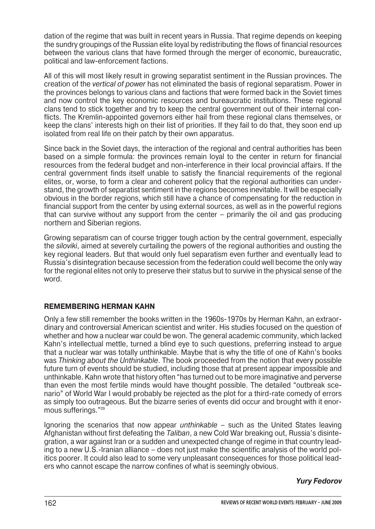dation of the regime that was built in recent years in Russia. That regime depends on keeping the sundry groupings of the Russian elite loyal by redistributing the flows of financial resources between the various clans that have formed through the merger of economic, bureaucratic, political and law-enforcement factions.

All of this will most likely result in growing separatist sentiment in the Russian provinces. The creation of the *vertical of power* has not eliminated the basis of regional separatism. Power in the provinces belongs to various clans and factions that were formed back in the Soviet times and now control the key economic resources and bureaucratic institutions. These regional clans tend to stick together and try to keep the central government out of their internal conflicts. The Kremlin-appointed governors either hail from these regional clans themselves, or keep the clans' interests high on their list of priorities. If they fail to do that, they soon end up isolated from real life on their patch by their own apparatus.

Since back in the Soviet days, the interaction of the regional and central authorities has been based on a simple formula: the provinces remain loyal to the center in return for financial resources from the federal budget and non-interference in their local provincial affairs. If the central government finds itself unable to satisfy the financial requirements of the regional elites, or, worse, to form a clear and coherent policy that the regional authorities can under stand, the growth of separatist sentiment in the regions becomes inevitable. It will be especially obvious in the border regions, which still have a chance of compensating for the reduction in financial support from the center by using external sources, as well as in the powerful regions that can survive without any support from the center – primarily the oil and gas producing northern and Siberian regions.

Growing separatism can of course trigger tough action by the central government, especially the *siloviki*, aimed at severely curtailing the powers of the regional authorities and ousting the key regional leaders. But that would only fuel separatism even further and eventually lead to Russia's disintegration because secession from the federation could well become the only way for the regional elites not only to preserve their status but to survive in the physical sense of the word.

#### **REMEMBERING HERMAN KAHN**

Only a few still remember the books written in the 1960s-1970s by Herman Kahn, an extraor dinary and controversial American scientist and writer. His studies focused on the question of whether and how a nuclear war could be won. The general academic community, which lacked Kahn's intellectual mettle, turned a blind eye to such questions, preferring instead to argue that a nuclear war was totally unthinkable. Maybe that is why the title of one of Kahn's books was *Thinking about the Unthinkable*. The book proceeded from the notion that every possible future turn of events should be studied, including those that at present appear impossible and unthinkable. Kahn wrote that history often "has turned out to be more imaginative and perverse than even the most fertile minds would have thought possible. The detailed "outbreak sce nario" of World War I would probably be rejected as the plot for a third-rate comedy of errors as simply too outrageous. But the bizarre series of events did occur and brought with it enor mous sufferings."29

Ignoring the scenarios that now appear *unthinkable* – such as the United States leaving Afghanistan without first defeating the *Taliban*, a new Cold War breaking out, Russia's disinte gration, a war against Iran or a sudden and unexpected change of regime in that country lead ing to a new U.S.-Iranian alliance – does not just make the scientific analysis of the world pol itics poorer. It could also lead to some very unpleasant consequences for those political lead ers who cannot escape the narrow confines of what is seemingly obvious.

#### *Yury Fedorov*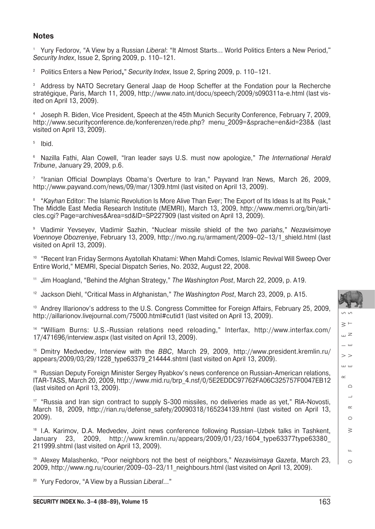#### **Notes**

<sup>1</sup> Yury Fedorov, "A View by a Russian *Liberal*: "It Almost Starts… World Politics Enters a New Period," *Security Index*, Issue 2, Spring 2009, p. 110–121.

<sup>2</sup> Politics Enters a New Period**,**" *Security Index*, Issue 2, Spring 2009, p. 110–121.

<sup>3</sup> Address by NATO Secretary General Jaap de Hoop Scheffer at the Fondation pour la Recherche stratégique, Paris, March 11, 2009, http://www.nato.int/docu/speech/2009/s090311a-e.html (last visited on April 13, 2009).

<sup>4</sup> Joseph R. Biden, Vice President, Speech at the 45th Munich Security Conference, February 7, 2009, http://www.securityconference.de/konferenzen/rede.php? menu\_2009=&sprache=en&id=238& (last visited on April 13, 2009).

<sup>5</sup> Ibid.

<sup>6</sup> Nazilla Fathi, Alan Cowell, "Iran leader says U.S. must now apologize," *The International Herald Tribune*, January 29, 2009, p.6.

<sup>7</sup> "Iranian Official Downplays Obama's Overture to Iran," Payvand Iran News, March 26, 2009, http://www.payvand.com/news/09/mar/1309.html (last visited on April 13, 2009).

<sup>8</sup> "Kayhan Editor: The Islamic Revolution Is More Alive Than Ever; The Export of Its Ideas Is at Its Peak," The Middle East Media Research Institute (MEMRI), March 13, 2009, http://www.memri.org/bin/arti cles.cgi? Page=archives&Area=sd&ID=SP227909 (last visited on April 13, 2009).

<sup>9</sup> Vladimir Yevseyev, Vladimir Sazhin, "Nuclear missile shield of the two *pariahs,*" *Nezavisimoye Voennoye Obozreniye*, February 13, 2009, http://nvo.ng.ru/armament/2009–02–13/1\_shield.html (last visited on April 13, 2009).

<sup>10</sup> "Recent Iran Friday Sermons Ayatollah Khatami: When Mahdi Comes, Islamic Revival Will Sweep Over Entire World," MEMRI, Special Dispatch Series, No. 2032, August 22, 2008.

<sup>11</sup> Jim Hoagland, "Behind the Afghan Strategy," *The Washington Post*, March 22, 2009, p. A19.

<sup>12</sup> Jackson Diehl, "Critical Mass in Afghanistan," *The Washington Post*, March 23, 2009, p. A15.

<sup>13</sup> Andrey Illarionov's address to the U.S. Congress Committee for Foreign Affairs, February 25, 2009, http://aillarionov.livejournal.com/75000.html#cutid1 (last visited on April 13, 2009).

<sup>14</sup> "William Burns: U.S.-Russian relations need reloading," Interfax, http://www.interfax.com/ 17/471696/interview.aspx (last visited on April 13, 2009).

<sup>15</sup> Dmitry Medvedev, Interview with the *BBC*, March 29, 2009, http://www.president.kremlin.ru/ appears/2009/03/29/1228\_type63379\_214444.shtml (last visited on April 13, 2009).

<sup>16</sup> Russian Deputy Foreign Minister Sergey Ryabkov's news conference on Russian-American relations, ITAR-TASS, March 20, 2009, http://www.mid.ru/brp\_4.nsf/0/5E2EDDC97762FA06C325757F0047EB12 (last visited on April 13, 2009).

<sup>17</sup> "Russia and Iran sign contract to supply S-300 missiles, no deliveries made as yet," RIA-Novosti, March 18, 2009, http://rian.ru/defense\_safety/20090318/165234139.html (last visited on April 13, 2009).

<sup>18</sup> I.A. Karimov, D.A. Medvedev, Joint news conference following Russian–Uzbek talks in Tashkent,<br>January 23. 2009. http://www.kremlin.ru/appears/2009/01/23/1604 type63377type63380 January 23, 2009, http://www.kremlin.ru/appears/2009/01/23/1604\_type63377type63380\_ 211999.shtml (last visited on April 13, 2009).

<sup>19</sup> Alexey Malashenko, "Poor neighbors not the best of neighbors," *Nezavisimaya Gazeta*, March 23, 2009, http://www.ng.ru/courier/2009–03–23/11\_neighbours.html (last visited on April 13, 2009).

<sup>20</sup> Yury Fedorov, "A View by a Russian *Liberal*…"

REVIEWS  $\overline{a}$ OF WORLD EVENTS $\geq$   $\vdash$  $\mathbb{Z}$  $=$   $\mu$  $\geq$ **DOM:**  $\alpha$  $\bigcirc$  $\overline{\phantom{a}}$  $\alpha$  $\circ$  $\geq$  $\mathbf{u}$  $\sim$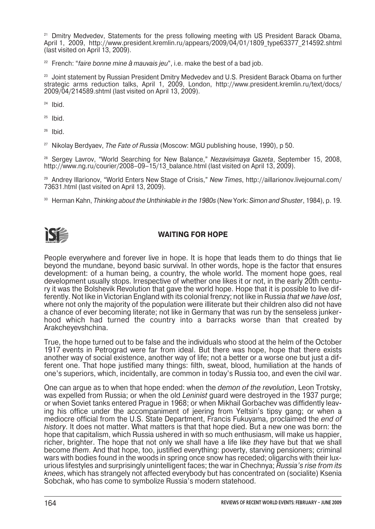<sup>21</sup> Dmitry Medvedev, Statements for the press following meeting with US President Barack Obama, April 1, 2009, http://www.president.kremlin.ru/appears/2009/04/01/1809\_type63377\_214592.shtml (last visited on April 13, 2009).

<sup>22</sup> French: "*faire bonne mine à mauvais jeu*", *i.e.* make the best of a bad job.

<sup>23</sup> Joint statement by Russian President Dmitry Medvedev and U.S. President Barack Obama on further strategic arms reduction talks, April 1, 2009, London, http://www.president.kremlin.ru/text/docs/ 2009/04/214589.shtml (last visited on April 13, 2009).

 $24$  Ibid.

 $25$  Ibid.

 $26$  Ibid.

<sup>27</sup> Nikolay Berdyaev, *The Fate of Russia* (Moscow: MGU publishing house, 1990), p 50.

<sup>28</sup> Sergey Lavrov, "World Searching for New Balance," *Nezavisimaya Gazeta*, September 15, 2008, http://www.ng.ru/courier/2008–09–15/13\_balance.html (last visited on April 13, 2009).

<sup>29</sup> Andrey Illarionov, "World Enters New Stage of Crisis," *New Times*, http://aillarionov.livejournal.com/ 73631.html (last visited on April 13, 2009).

<sup>30</sup> Herman Kahn, *Thinking about the Unthinkable in the 1980s* (New York: *Simon and Shuster*, 1984), p. 19.



#### **WAITING FOR HOPE**

People everywhere and forever live in hope. It is hope that leads them to do things that lie beyond the mundane, beyond basic survival. In other words, hope is the factor that ensures development: of a human being, a country, the whole world. The moment hope goes, real development usually stops. Irrespective of whether one likes it or not, in the early 20th centu ry it was the Bolshevik Revolution that gave the world hope. Hope that it is possible to live dif ferently. Not like in Victorian England with its colonial frenzy; not like in Russia *that we have lost*, where not only the majority of the population were illiterate but their children also did not have a chance of ever becoming literate; not like in Germany that was run by the senseless junker hood which had turned the country into a barracks worse than that created by Arakcheyevshchina.

True, the hope turned out to be false and the individuals who stood at the helm of the October 1917 events in Petrograd were far from ideal. But there was hope, hope that there exists another way of social existence, another way of life; not a better or a worse one but just a dif ferent one. That hope justified many things: filth, sweat, blood, humiliation at the hands of one's superiors, which, incidentally, are common in today's Russia too, and even the civil war.

One can argue as to when that hope ended: when the *demon of the revolution*, Leon Trotsky, was expelled from Russia; or when the old *Leninist* guard were destroyed in the 1937 purge; or when Soviet tanks entered Prague in 1968; or when Mikhail Gorbachev was diffidently leaving his office under the accompaniment of jeering from Yeltsin's tipsy gang; or when a mediocre official from the U.S. State Department, Francis Fukuyama, proclaimed the *end of history*. It does not matter. What matters is that that hope died. But a new one was born: the hope that capitalism, which Russia ushered in with so much enthusiasm, will make us happier, richer, brighter. The hope that not only we shall have a life like *they* have but that we shall become *them*. And that hope, too, justified everything: poverty, starving pensioners; criminal wars with bodies found in the woods in spring once snow has receded; oligarchs with their lux urious lifestyles and surprisingly unintelligent faces; the war in Chechnya; *Russia's rise from its knees*, which has strangely not affected everybody but has concentrated on (socialite) Ksenia Sobchak, who has come to symbolize Russia's modern statehood.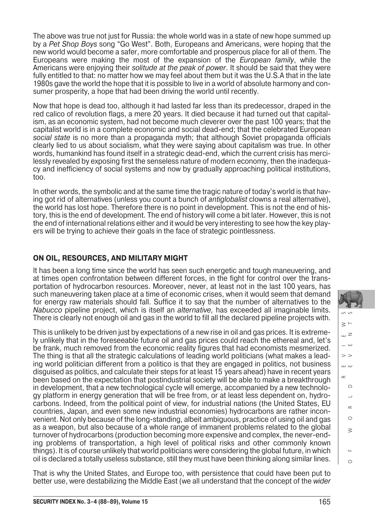The above was true not just for Russia: the whole world was in a state of new hope summed up by a *Pet Shop Boys* song "Go West". Both, Europeans and Americans, were hoping that the new world would become a safer, more comfortable and prosperous place for all of them. The Europeans were making the most of the expansion of the *European family*, while the Americans were enjoying their *solitude at the peak of power*. It should be said that they were fully entitled to that: no matter how we may feel about them but it was the U.S.A that in the late 1980s gave the world the hope that it is possible to live in a world of absolute harmony and con sumer prosperity, a hope that had been driving the world until recently.

Now that hope is dead too, although it had lasted far less than its predecessor, draped in the red calico of revolution flags, a mere 20 years. It died because it had turned out that capital ism, as an economic system, had not become much cleverer over the past 100 years; that the capitalist world is in a complete economic and social dead-end; that the celebrated European *social state* is no more than a propaganda myth; that although Soviet propaganda officials clearly lied to us about socialism, what they were saying about capitalism was true. In other words, humankind has found itself in a strategic dead-end, which the current crisis has merci lessly revealed by exposing first the senseless nature of modern economy, then the inadequa cy and inefficiency of social systems and now by gradually approaching political institutions, too.

In other words, the symbolic and at the same time the tragic nature of today's world is that hav ing got rid of alternatives (unless you count a bunch of *antiglobalist* clowns a real alternative), the world has lost hope. Therefore there is no point in development. This is not the end of history, this is the end of development. The end of history will come a bit later. However, this is not the end of international relations either and it would be very interesting to see how the key players will be trying to achieve their goals in the face of strategic pointlessness.

## **ON OIL, RESOURCES, AND MILITARY MIGHT**

It has been a long time since the world has seen such energetic and tough maneuvering, and at times open confrontation between different forces, in the fight for control over the trans portation of hydrocarbon resources. Moreover, never, at least not in the last 100 years, has such maneuvering taken place at a time of economic crises, when it would seem that demand for energy raw materials should fall. Suffice it to say that the number of alternatives to the *Nabucco* pipeline project, which is itself an *alternative,* has exceeded all imaginable limits. There is clearly not enough oil and gas in the world to fill all the declared pipeline projects with.

This is unlikely to be driven just by expectations of a new rise in oil and gas prices. It is extreme ly unlikely that in the foreseeable future oil and gas prices could reach the ethereal and, let's be frank, much removed from the economic reality figures that had economists mesmerized. The thing is that all the strategic calculations of leading world politicians (what makes a lead ing world politician different from a politico is that they are engaged in politics, not business disguised as politics, and calculate their steps for at least 15 years ahead) have in recent years been based on the expectation that postindustrial society will be able to make a breakthrough in development, that a new technological cycle will emerge, accompanied by a new technolo gy platform in energy generation that will be free from, or at least less dependent on, hydro carbons. Indeed, from the political point of view, for industrial nations (the United States, EU countries, Japan, and even some new industrial economies) hydrocarbons are rather incon venient. Not only because of the long-standing, albeit ambiguous, practice of using oil and gas as a weapon, but also because of a whole range of immanent problems related to the global turnover of hydrocarbons (production becoming more expensive and complex, the never-end ing problems of transportation, a high level of political risks and other commonly known things). It is of course unlikely that world politicians were considering the global future, in which oil is declared a totally useless substance, still they must have been thinking along similar lines.

That is why the United States, and Europe too, with persistence that could have been put to better use, were destabilizing the Middle East (we all understand that the concept of the *wider*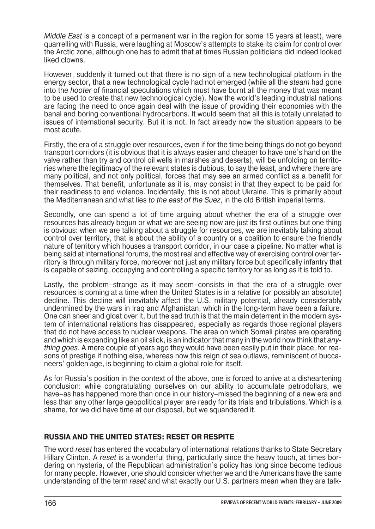*Middle East* is a concept of a permanent war in the region for some 15 years at least), were quarrelling with Russia, were laughing at Moscow's attempts to stake its claim for control over the Arctic zone, although one has to admit that at times Russian politicians did indeed looked liked clowns.

However, suddenly it turned out that there is no sign of a new technological platform in the energy sector, that a new technological cycle had not emerged (while all the *steam* had gone into the *hooter* of financial speculations which must have burnt all the money that was meant to be used to create that new technological cycle). Now the world's leading industrial nations are facing the need to once again deal with the issue of providing their economies with the banal and boring conventional hydrocarbons. It would seem that all this is totally unrelated to issues of international security. But it is not. In fact already now the situation appears to be most acute.

Firstly, the era of a struggle over resources, even if for the time being things do not go beyond transport corridors (it is obvious that it is always easier and cheaper to have one's hand on the valve rather than try and control oil wells in marshes and deserts), will be unfolding on territories where the legitimacy of the relevant states is dubious, to say the least, and where there are many political, and not only political, forces that may see an armed conflict as a benefit for themselves. That benefit, unfortunate as it is, may consist in that they expect to be paid for their readiness to end violence. Incidentally, this is not about Ukraine. This is primarily about the Mediterranean and what lies *to the east of the Suez*, in the old British imperial terms.

Secondly, one can spend a lot of time arguing about whether the era of a struggle over resources has already begun or what we are seeing now are just its first outlines but one thing is obvious: when we are talking about a struggle for resources, we are inevitably talking about control over territory, that is about the ability of a country or a coalition to ensure the friendly nature of territory which houses a transport corridor, in our case a pipeline. No matter what is being said at international forums, the most real and effective way of exercising control over territory is through military force, moreover not just any military force but specifically infantry that is capable of seizing, occupying and controlling a specific territory for as long as it is told to.

Lastly, the problem–strange as it may seem–consists in that the era of a struggle over resources is coming at a time when the United States is in a relative (or possibly an absolute) decline. This decline will inevitably affect the U.S. military potential, already considerably undermined by the wars in Iraq and Afghanistan, which in the long-term have been a failure. One can sneer and gloat over it, but the sad truth is that the main deterrent in the modern sys tem of international relations has disappeared, especially as regards those regional players that do not have access to nuclear weapons. The area on which Somali pirates are operating and which is expanding like an oil slick, is an indicator that many in the world now think that *anything goes*. A mere couple of years ago they would have been easily put in their place, for rea sons of prestige if nothing else, whereas now this reign of sea outlaws, reminiscent of buccaneers' golden age, is beginning to claim a global role for itself.

As for Russia's position in the context of the above, one is forced to arrive at a disheartening conclusion: while congratulating ourselves on our ability to accumulate petrodollars, we have–as has happened more than once in our history–missed the beginning of a new era and less than any other large geopolitical player are ready for its trials and tribulations. Which is a shame, for we did have time at our disposal, but we squandered it.

#### **RUSSIA AND THE UNITED STATES: RESET OR RESPITE**

The word *reset* has entered the vocabulary of international relations thanks to State Secretary Hillary Clinton. A *reset* is a wonderful thing, particularly since the heavy touch, at times bor dering on hysteria, of the Republican administration's policy has long since become tedious for many people. However, one should consider whether we and the Americans have the same understanding of the term *reset* and what exactly our U.S. partners mean when they are talk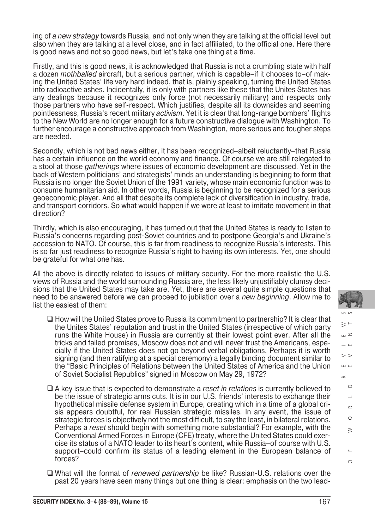ing of *a new strategy* towards Russia, and not only when they are talking at the official level but also when they are talking at a level close, and in fact affiliated, to the official one. Here there is good news and not so good news, but let's take one thing at a time.

Firstly, and this is good news, it is acknowledged that Russia is not a crumbling state with half a dozen *mothballed* aircraft, but a serious partner, which is capable–if it chooses to–of mak ing the United States' life very hard indeed, that is, plainly speaking, turning the United States into radioactive ashes. Incidentally, it is only with partners like these that the Unites States has any dealings because it recognizes only force (not necessarily military) and respects only those partners who have self-respect. Which justifies, despite all its downsides and seeming pointlessness, Russia's recent military *activism*. Yet it is clear that long-range bombers' flights to the New World are no longer enough for a future constructive dialogue with Washington. To further encourage a constructive approach from Washington, more serious and tougher steps are needed.

Secondly, which is not bad news either, it has been recognized–albeit reluctantly–that Russia has a certain influence on the world economy and finance. Of course we are still relegated to a stool at those *gatherings* where issues of economic development are discussed. Yet in the back of Western politicians' and strategists' minds an understanding is beginning to form that Russia is no longer the Soviet Union of the 1991 variety, whose main economic function was to consume humanitarian aid. In other words, Russia is beginning to be recognized for a serious geoeconomic player. And all that despite its complete lack of diversification in industry, trade, and transport corridors. So what would happen if we were at least to imitate movement in that direction?

Thirdly, which is also encouraging, it has turned out that the United States is ready to listen to Russia's concerns regarding post-Soviet countries and to postpone Georgia's and Ukraine's accession to NATO. Of course, this is far from readiness to recognize Russia's interests. This is so far just readiness to recognize Russia's right to having its own interests. Yet, one should be grateful for what one has.

All the above is directly related to issues of military security. For the more realistic the U.S. views of Russia and the world surrounding Russia are, the less likely unjustifiably clumsy decisions that the United States may take are. Yet, there are several quite simple questions that need to be answered before we can proceed to jubilation over a *new beginning*. Allow me to list the easiest of them:

- □ How will the United States prove to Russia its commitment to partnership? It is clear that the Unites States' reputation and trust in the United States (irrespective of which party runs the White House) in Russia are currently at their lowest point ever. After all the tricks and failed promises, Moscow does not and will never trust the Americans, especially if the United States does not go beyond verbal obligations. Perhaps it is worth signing (and then ratifying at a special ceremony) a legally binding document similar to the "Basic Principles of Relations between the United States of America and the Union of Soviet Socialist Republics" signed in Moscow on May 29, 1972?
- □ A key issue that is expected to demonstrate a *reset in relations* is currently believed to be the issue of strategic arms cuts. It is in our U.S. friends' interests to exchange their hypothetical missile defense system in Europe, creating which in a time of a global cri sis appears doubtful, for real Russian strategic missiles. In any event, the issue of strategic forces is objectively not the most difficult, to say the least, in bilateral relations. Perhaps a *reset* should begin with something more substantial? For example, with the Conventional Armed Forces in Europe (CFE) treaty, where the United States could exer cise its status of a NATO leader to its heart's content, while Russia–of course with U.S. support–could confirm its status of a leading element in the European balance of forces?
- □ What will the format of *renewed partnership* be like? Russian-U.S. relations over the past 20 years have seen many things but one thing is clear: emphasis on the two lead-

REVIEWS u u OF WORLD EVENTS $\geq$  +  $\mathbb{Z}$  $=$   $\mu$  $\geq$ шш.<br>Ш  $\approx$  $\bigcirc$ ÷.  $\alpha$  $\circ$  $\geq$  $\mathbf{H}$  $\cap$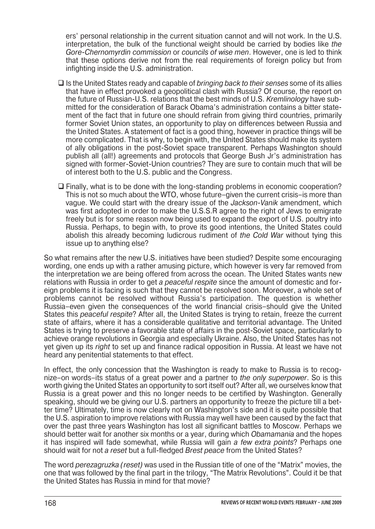ers' personal relationship in the current situation cannot and will not work. In the U.S. interpretation, the bulk of the functional weight should be carried by bodies like *the Gore-Chernomyrdin commission* or *councils of wise men*. However, one is led to think that these options derive not from the real requirements of foreign policy but from infighting inside the U.S. administration.

- Is the United States ready and capable of *bringing back to their senses* some of its allies that have in effect provoked a geopolitical clash with Russia? Of course, the report on the future of Russian-U.S. relations that the best minds of U.S. *Kremlinology* have submitted for the consideration of Barack Obama's administration contains a bitter statement of the fact that in future one should refrain from giving third countries, primarily former Soviet Union states, an opportunity to play on differences between Russia and the United States. A statement of fact is a good thing, however in practice things will be more complicated. That is why, to begin with, the United States should make its system of ally obligations in the post-Soviet space transparent. Perhaps Washington should publish all (all!) agreements and protocols that George Bush Jr's administration has signed with former-Soviet-Union countries? They are sure to contain much that will be of interest both to the U.S. public and the Congress.
- □ Finally, what is to be done with the long-standing problems in economic cooperation? This is not so much about the WTO, whose future–given the current crisis–is more than vague. We could start with the dreary issue of the *Jackson-Vanik* amendment, which was first adopted in order to make the U.S.S.R agree to the right of Jews to emigrate freely but is for some reason now being used to expand the export of U.S. poultry into Russia. Perhaps, to begin with, to prove its good intentions, the United States could abolish this already becoming ludicrous rudiment of *the Cold War* without tying this issue up to anything else?

So what remains after the new U.S. initiatives have been studied? Despite some encouraging wording, one ends up with a rather amusing picture, which however is very far removed from the interpretation we are being offered from across the ocean. The United States wants new relations with Russia in order to get *a peaceful respite* since the amount of domestic and foreign problems it is facing is such that they cannot be resolved soon. Moreover, a whole set of problems cannot be resolved without Russia's participation. The question is whether Russia–even given the consequences of the world financial crisis–should give the United States this *peaceful respite*? After all, the United States is trying to retain, freeze the current state of affairs, where it has a considerable qualitative and territorial advantage. The United States is trying to preserve a favorable state of affairs in the post-Soviet space, particularly to achieve orange revolutions in Georgia and especially Ukraine. Also, the United States has not yet given up its *right* to set up and finance radical opposition in Russia. At least we have not heard any penitential statements to that effect.

In effect, the only concession that the Washington is ready to make to Russia is to recog nize–on words–its status of a great power and a partner to *the only superpower*. So is this worth giving the United States an opportunity to sort itself out? After all, we ourselves know that Russia is a great power and this no longer needs to be certified by Washington. Generally speaking, should we be giving our U.S. partners an opportunity to freeze the picture till a bet ter time? Ultimately, time is now clearly not on Washington's side and it is quite possible that the U.S. aspiration to improve relations with Russia may well have been caused by the fact that over the past three years Washington has lost all significant battles to Moscow. Perhaps we should better wait for another six months or a year, during which *Obamamania* and the hopes it has inspired will fade somewhat, while Russia will gain *a few extra points*? Perhaps one should wait for not *a reset* but a full-fledged *Brest peace* from the United States?

The word *perezagruzka (reset)* was used in the Russian title of one of the "Matrix" movies, the one that was followed by the final part in the trilogy, "The Matrix Revolutions". Could it be that the United States has Russia in mind for that movie?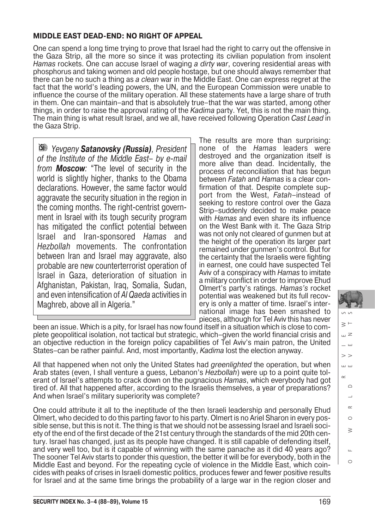## **MIDDLE EAST DEAD-END: NO RIGHT OF APPEAL**

One can spend a long time trying to prove that Israel had the right to carry out the offensive in the Gaza Strip, all the more so since it was protecting its civilian population from insolent *Hamas* rockets. One can accuse Israel of waging *a dirty war*, covering residential areas with phosphorus and taking women and old people hostage, but one should always remember that there can be no such a thing as *a clean* war in the Middle East. One can express regret at the fact that the world's leading powers, the UN, and the European Commission were unable to influence the course of the military operation. All these statements have a large share of truth in them. One can maintain–and that is absolutely true–that the war was started, among other things, in order to raise the approval rating of the *Kadima* party. Yet, this is not the main thing. The main thing is what result Israel, and we all, have received following Operation *Cast Lead* in the Gaza Strip.

*Yevgeny Satanovsky (Russia), President of the Institute of the Middle East– by e-mail from Moscow:* "The level of security in the world is slightly higher, thanks to the Obama declarations. However, the same factor would aggravate the security situation in the region in the coming months. The right-centrist government in Israel with its tough security program has mitigated the conflict potential between Israel and Iran-sponsored *Hamas* and *Hezbollah* movements. The confrontation between Iran and Israel may aggravate, also probable are new counterterrorist operation of Israel in Gaza, deterioration of situation in Afghanistan, Pakistan, Iraq, Somalia, Sudan, and even intensification of *Al Qaeda* activities in Maghreb, above all in Algeria."

The results are more than surprising: none of the *Hamas* leaders were destroyed and the organization itself is more alive than dead. Incidentally, the process of reconciliation that has begun between *Fatah* and *Hamas* is a clear confirmation of that. Despite complete support from the West, *Fatah*–instead of seeking to restore control over the Gaza Strip–suddenly decided to make peace with *Hamas* and even share its influence on the West Bank with it. The Gaza Strip was not only not cleared of gunmen but at the height of the operation its larger part remained under gunmen's control. But for the certainty that the Israelis were fighting in earnest, one could have suspected Tel Aviv of a conspiracy with *Hamas* to imitate a military conflict in order to improve Ehud Olmert's party's ratings. *Hamas's* rocket potential was weakened but its full recovery is only a matter of time. Israel's inter national image has been smashed to pieces, although for Tel Aviv this has never

been an issue. Which is a pity, for Israel has now found itself in a situation which is close to com plete geopolitical isolation, not tactical but strategic, which–given the world financial crisis and an objective reduction in the foreign policy capabilities of Tel Aviv's main patron, the United States–can be rather painful. And, most importantly, *Kadima* lost the election anyway.

All that happened when not only the United States had *greenlighted* the operation, but when Arab states (even, I shall venture a guess, Lebanon's *Hezbollah*) were up to a point quite tol erant of Israel's attempts to crack down on the pugnacious *Hamas*, which everybody had got tired of. All that happened after, according to the Israelis themselves, a year of preparations? And when Israel's military superiority was complete?

One could attribute it all to the ineptitude of the then Israeli leadership and personally Ehud Olmert, who decided to do this parting favor to his party. Olmert is no Ariel Sharon in every pos sible sense, but this is not it. The thing is that we should not be assessing Israel and Israeli soci ety of the end of the first decade of the 21st century through the standards of the mid 20th century. Israel has changed, just as its people have changed. It is still capable of defending itself, and very well too, but is it capable of winning with the same panache as it did 40 years ago? The sooner Tel Aviv starts to ponder this question, the better it will be for everybody, both in the Middle East and beyond. For the repeating cycle of violence in the Middle East, which coin cides with peaks of crises in Israeli domestic politics, produces fewer and fewer positive results for Israel and at the same time brings the probability of a large war in the region closer and

REVIEWS un un OF WORLD EVENTS  $\geq$  +  $\mathbb{Z}$  $=$   $\mu$  $\geq$ **DOM:**  $\simeq$  $\bigcirc$ ⊐  $\alpha$  $\circ$  $\geq$  $\mathbf{H}$  $\cap$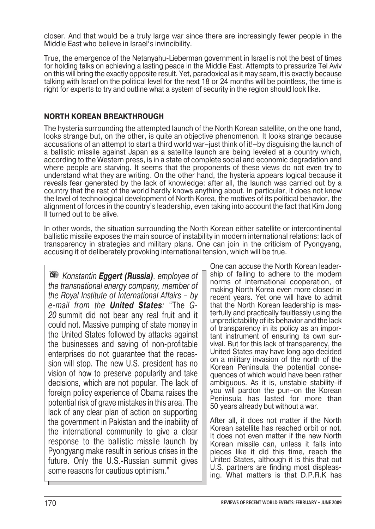closer. And that would be a truly large war since there are increasingly fewer people in the Middle East who believe in Israel's invincibility.

True, the emergence of the Netanyahu-Lieberman government in Israel is not the best of times for holding talks on achieving a lasting peace in the Middle East. Attempts to pressurize Tel Aviv on this will bring the exactly opposite result. Yet, paradoxical as it may seam, it is exactly because talking with Israel on the political level for the next 18 or 24 months will be pointless, the time is right for experts to try and outline what a system of security in the region should look like.

#### **NORTH KOREAN BREAKTHROUGH**

The hysteria surrounding the attempted launch of the North Korean satellite, on the one hand, looks strange but, on the other, is quite an objective phenomenon. It looks strange because accusations of an attempt to start a third world war–just think of it!–by disguising the launch of a ballistic missile against Japan as a satellite launch are being leveled at a country which, according to the Western press, is in a state of complete social and economic degradation and where people are starving. It seems that the proponents of these views do not even try to understand what they are writing. On the other hand, the hysteria appears logical because it reveals fear generated by the lack of knowledge: after all, the launch was carried out by a country that the rest of the world hardly knows anything about. In particular, it does not know the level of technological development of North Korea, the motives of its political behavior, the alignment of forces in the country's leadership, even taking into account the fact that Kim Jong Il turned out to be alive.

In other words, the situation surrounding the North Korean either satellite or intercontinental ballistic missile exposes the main source of instability in modern international relations: lack of transparency in strategies and military plans. One can join in the criticism of Pyongyang, accusing it of deliberately provoking international tension, which will be true.

*Konstantin Eggert (Russia), employee of the transnational energy company, member of the Royal Institute of International Affairs – by e-mail from the United States:* "The *G- 20* summit did not bear any real fruit and it could not. Massive pumping of state money in the United States followed by attacks against the businesses and saving of non-profitable enterprises do not guarantee that the recession will stop. The new U.S. president has no vision of how to preserve popularity and take decisions, which are not popular. The lack of foreign policy experience of Obama raises the potential risk of grave mistakes in this area. The lack of any clear plan of action on supporting the government in Pakistan and the inability of the international community to give a clear response to the ballistic missile launch by Pyongyang make result in serious crises in the future. Only the U.S.-Russian summit gives some reasons for cautious optimism."

One can accuse the North Korean leadership of failing to adhere to the modern norms of international cooperation, of making North Korea even more closed in recent years. Yet one will have to admit that the North Korean leadership is masterfully and practically faultlessly using the unpredictability of its behavior and the lack of transparency in its policy as an impor tant instrument of ensuring its own sur vival. But for this lack of transparency, the United States may have long ago decided on a military invasion of the north of the Korean Peninsula the potential conse quences of which would have been rather ambiguous. As it is, unstable stability–if you will pardon the pun–on the Korean Peninsula has lasted for more than 50 years already but without a war.

After all, it does not matter if the North Korean satellite has reached orbit or not. It does not even matter if the new North Korean missile can, unless it falls into pieces like it did this time, reach the United States, although it is this that out U.S. partners are finding most displeas ing. What matters is that D.P.R.K has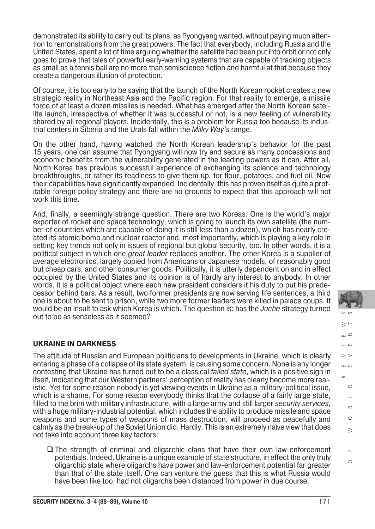demonstrated its ability to carry out its plans, as Pyongyang wanted, without paying much atten tion to remonstrations from the great powers. The fact that everybody, including Russia and the United States, spent a lot of time arguing whether the satellite had been put into orbit or not only goes to prove that tales of powerful early-warning systems that are capable of tracking objects as small as a tennis ball are no more than semiscience fiction and harmful at that because they create a dangerous illusion of protection.

Of course, it is too early to be saying that the launch of the North Korean rocket creates a new strategic reality in Northeast Asia and the Pacific region. For that reality to emerge, a missile force of at least a dozen missiles is needed. What has emerged after the North Korean satel lite launch, irrespective of whether it was successful or not, is a new feeling of vulnerability shared by all regional players. Incidentally, this is a problem for Russia too because its industrial centers in Siberia and the Urals fall within the *Milky Way's* range.

On the other hand, having watched the North Korean leadership's behavior for the past 15 years, one can assume that Pyongyang will now try and secure as many concessions and economic benefits from the vulnerability generated in the leading powers as it can. After all, North Korea has previous successful experience of exchanging its science and technology breakthroughs, or rather its readiness to give them up, for flour, potatoes, and fuel oil. Now their capabilities have significantly expanded. Incidentally, this has proven itself as quite a prof itable foreign policy strategy and there are no grounds to expect that this approach will not work this time.

And, finally, a seemingly strange question. There are two Koreas. One is the world's major exporter of rocket and space technology, which is going to launch its own satellite (the num ber of countries which are capable of doing it is still less than a dozen), which has nearly cre ated its atomic bomb and nuclear reactor and, most importantly, which is playing a key role in setting key trends not only in issues of regional but global security, too. In other words, it is a political subject in which one *great leader* replaces another. The other Korea is a supplier of average electronics, largely copied from Americans or Japanese models, of reasonably good but cheap cars, and other consumer goods. Politically, it is utterly dependent on and in effect occupied by the United States and its opinion is of hardly any interest to anybody. In other words, it is a political object where each new president considers it his duty to put his predecessor behind bars. As a result, two former presidents are now serving life sentences, a third one is about to be sent to prison, while two more former leaders were killed in palace coups. It would be an insult to ask which Korea is which. The question is: has the *Juche* strategy turned out to be as senseless as it seemed?

#### **UKRAINE IN DARKNESS**

The attitude of Russian and European politicians to developments in Ukraine, which is clearly entering a phase of a collapse of its state system, is causing some concern. None is any longer contesting that Ukraine has turned out to be a classical *failed state*, which is a positive sign in itself, indicating that our Western partners' perception of reality has clearly become more real istic. Yet for some reason nobody is yet viewing events in Ukraine as a military-political issue, which is a shame. For some reason everybody thinks that the collapse of a fairly large state, filled to the brim with military infrastructure, with a large army and still larger *security services*, with a huge military-industrial potential, which includes the ability to produce missile and space weapons and some types of weapons of mass destruction, will proceed as peacefully and calmly as the break-up of the Soviet Union did. Hardly. This is an extremely naïve view that does not take into account three key factors:

□ The strength of criminal and oligarchic clans that have their own law-enforcement potentials. Indeed, Ukraine is a unique example of state structure, in effect the only truly oligarchic state where oligarchs have power and law-enforcement potential far greater than that of the state itself. One can venture the guess that this is what Russia would have been like too, had not oligarchs been distanced from power in due course.

REVIEWS  $\overline{u}$ OF WORLD EVENTS $\geq$  +  $\mathbb{L}$   $\mathbb{Z}$  $-14$  $\geq$ **DOM:**  $\alpha$  $\bigcirc$  $\simeq$  $\circ$  $\geq$  $\mathbf{u}$  $\cap$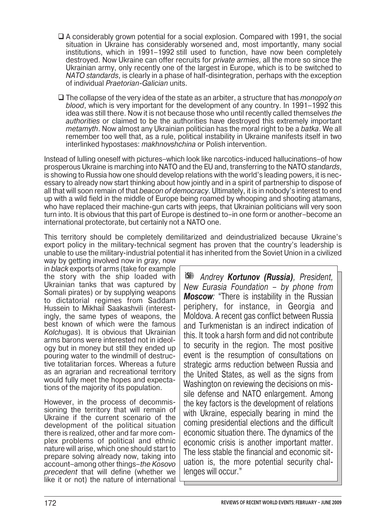- □ A considerably grown potential for a social explosion. Compared with 1991, the social situation in Ukraine has considerably worsened and, most importantly, many social institutions, which in 1991–1992 still used to function, have now been completely destroyed. Now Ukraine can offer recruits for *private armies*, all the more so since the Ukrainian army, only recently one of the largest in Europe, which is to be switched to *NATO standards*, is clearly in a phase of half-disintegration, perhaps with the exception of individual *Praetorian-Galician* units.
- The collapse of the very idea of the state as an arbiter, a structure that has *monopoly on blood*, which is very important for the development of any country. In 1991–1992 this idea was still there. Now it is not because those who until recently called themselves *the authorities* or claimed to be the authorities have destroyed this extremely important *metamyth*. Now almost any Ukrainian politician has the moral right to be a *batka*. We all remember too well that, as a rule, political instability in Ukraine manifests itself in two interlinked hypostases: *makhnovshchina* or Polish intervention.

Instead of lulling oneself with pictures–which look like narcotics-induced hallucinations–of how prosperous Ukraine is marching into NATO and the EU and, transferring to the NATO *standards*, is showing to Russia how one should develop relations with the world's leading powers, it is nec essary to already now start thinking about how jointly and in a spirit of partnership to dispose of all that will soon remain of that *beacon of democracy*. Ultimately, it is in nobody's interest to end up with a wild field in the middle of Europe being roamed by whooping and shooting atamans, who have replaced their machine-gun carts with jeeps, that Ukrainian politicians will very soon turn into. It is obvious that this part of Europe is destined to–in one form or another–become an international protectorate, but certainly not a NATO one.

This territory should be completely demilitarized and deindustrialized because Ukraine's export policy in the military-technical segment has proven that the country's leadership is unable to use the military-industrial potential it has inherited from the Soviet Union in a civilized

way by getting involved now in *gray*, now in *black* exports of arms (take for example the story with the ship loaded with Ukrainian tanks that was captured by Somali pirates) or by supplying weapons to dictatorial regimes from Saddam Hussein to Mikhail Saakashvili (interestingly, the same types of weapons, the best known of which were the famous *Kolchugas*). It is obvious that Ukrainian arms barons were interested not in ideology but in money but still they ended up pouring water to the windmill of destruc tive totalitarian forces. Whereas a future as an agrarian and recreational territory would fully meet the hopes and expecta tions of the majority of its population.

However, in the process of decommis sioning the territory that will remain of Ukraine if the current scenario of the development of the political situation there is realized, other and far more com plex problems of political and ethnic nature will arise, which one should start to prepare solving already now, taking into account–among other things–*the Kosovo precedent* that will define (whether we like it or not) the nature of international

*Andrey Kortunov (Russia), President, New Eurasia Foundation – by phone from Moscow:* "There is instability in the Russian periphery, for instance, in Georgia and Moldova. A recent gas conflict between Russia and Turkmenistan is an indirect indication of this. It took a harsh form and did not contribute to security in the region. The most positive event is the resumption of consultations on strategic arms reduction between Russia and the United States, as well as the signs from Washington on reviewing the decisions on mis sile defense and NATO enlargement. Among the key factors is the development of relations with Ukraine, especially bearing in mind the coming presidential elections and the difficult economic situation there. The dynamics of the economic crisis is another important matter. The less stable the financial and economic situation is, the more potential security chal lenges will occur."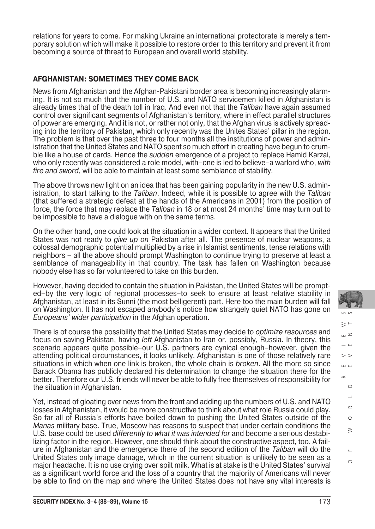relations for years to come. For making Ukraine an international protectorate is merely a tem porary solution which will make it possible to restore order to this territory and prevent it from becoming a source of threat to European and overall world stability.

## **AFGHANISTAN: SOMETIMES THEY COME BACK**

News from Afghanistan and the Afghan-Pakistani border area is becoming increasingly alarm ing. It is not so much that the number of U.S. and NATO servicemen killed in Afghanistan is already times that of the death toll in Iraq. And even not that the *Taliban* have again assumed control over significant segments of Afghanistan's territory, where in effect parallel structures of power are emerging. And it is not, or rather not only, that the Afghan virus is actively spread ing into the territory of Pakistan, which only recently was the Unites States' pillar in the region. The problem is that over the past three to four months all the institutions of power and admin istration that the United States and NATO spent so much effort in creating have begun to crum ble like a house of cards. Hence the *sudden* emergence of a project to replace Hamid Karzai, who only recently was considered a role model, with–one is led to believe–a warlord who, *with fire and sword*, will be able to maintain at least some semblance of stability.

The above throws new light on an idea that has been gaining popularity in the new U.S. administration, to start talking to the *Taliban*. Indeed, while it is possible to agree with the *Taliban* (that suffered a strategic defeat at the hands of the Americans in 2001) from the position of force, the force that may replace the *Taliban* in 18 or at most 24 months' time may turn out to be impossible to have a dialogue with on the same terms.

On the other hand, one could look at the situation in a wider context. It appears that the United States was not ready to *give up on* Pakistan after all. The presence of nuclear weapons, a colossal demographic potential multiplied by a rise in Islamist sentiments, tense relations with neighbors – all the above should prompt Washington to continue trying to preserve at least a semblance of manageability in that country. The task has fallen on Washington because nobody else has so far volunteered to take on this burden.

However, having decided to contain the situation in Pakistan, the United States will be prompted–by the very logic of regional processes–to seek to ensure at least relative stability in Afghanistan, at least in its Sunni (the most belligerent) part. Here too the main burden will fall on Washington. It has not escaped anybody's notice how strangely quiet NATO has gone on *Europeans' wider participation* in the Afghan operation.

There is of course the possibility that the United States may decide to *optimize resources* and focus on saving Pakistan, having *left* Afghanistan to Iran or, possibly, Russia. In theory, this scenario appears quite possible–our U.S. partners are cynical enough–however, given the attending political circumstances, it looks unlikely. Afghanistan is one of those relatively rare situations in which when one link is broken, the whole chain is *broken*. All the more so since Barack Obama has publicly declared his determination to change the situation there for the better. Therefore our U.S. friends will never be able to fully free themselves of responsibility for the situation in Afghanistan.

Yet, instead of gloating over news from the front and adding up the numbers of U.S. and NATO losses in Afghanistan, it would be more constructive to think about what role Russia could play. So far all of Russia's efforts have boiled down to pushing the United States outside of the *Manas* military base. True, Moscow has reasons to suspect that under certain conditions the U.S. base could be used *differently to what it was intended for* and become a serious destabi lizing factor in the region. However, one should think about the constructive aspect, too. A fail ure in Afghanistan and the emergence there of the second edition of the *Taliban* will do the United States only image damage, which in the current situation is unlikely to be seen as a major headache. It is no use crying over spilt milk. What is at stake is the United States' survival as a significant world force and the loss of a country that the majority of Americans will never be able to find on the map and where the United States does not have any vital interests is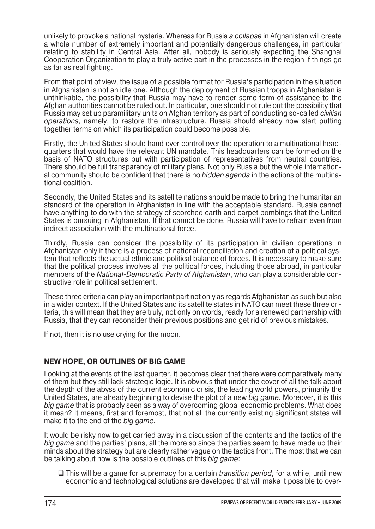unlikely to provoke a national hysteria. Whereas for Russia *a collapse* in Afghanistan will create a whole number of extremely important and potentially dangerous challenges, in particular relating to stability in Central Asia. After all, nobody is seriously expecting the Shanghai Cooperation Organization to play a truly active part in the processes in the region if things go as far as real fighting.

From that point of view, the issue of a possible format for Russia's participation in the situation in Afghanistan is not an idle one. Although the deployment of Russian troops in Afghanistan is unthinkable, the possibility that Russia may have to render some form of assistance to the Afghan authorities cannot be ruled out. In particular, one should not rule out the possibility that Russia may set up paramilitary units on Afghan territory as part of conducting so-called *civilian operations*, namely, to restore the infrastructure. Russia should already now start putting together terms on which its participation could become possible.

Firstly, the United States should hand over control over the operation to a multinational headquarters that would have the relevant UN mandate. This headquarters can be formed on the basis of NATO structures but with participation of representatives from neutral countries. There should be full transparency of military plans. Not only Russia but the whole internation al community should be confident that there is no *hidden agenda* in the actions of the multinational coalition.

Secondly, the United States and its satellite nations should be made to bring the humanitarian standard of the operation in Afghanistan in line with the acceptable standard. Russia cannot have anything to do with the strategy of scorched earth and carpet bombings that the United States is pursuing in Afghanistan. If that cannot be done, Russia will have to refrain even from indirect association with the multinational force.

Thirdly, Russia can consider the possibility of its participation in civilian operations in Afghanistan only if there is a process of national reconciliation and creation of a political system that reflects the actual ethnic and political balance of forces. It is necessary to make sure that the political process involves all the political forces, including those abroad, in particular members of the *National-Democratic Party of Afghanistan*, who can play a considerable con structive role in political settlement.

These three criteria can play an important part not only as regards Afghanistan as such but also in a wider context. If the United States and its satellite states in NATO can meet these three cri teria, this will mean that they are truly, not only on words, ready for a renewed partnership with Russia, that they can reconsider their previous positions and get rid of previous mistakes.

If not, then it is no use crying for the moon.

## **NEW HOPE, OR OUTLINES OF BIG GAME**

Looking at the events of the last quarter, it becomes clear that there were comparatively many of them but they still lack strategic logic. It is obvious that under the cover of all the talk about the depth of the abyss of the current economic crisis, the leading world powers, primarily the United States, are already beginning to devise the plot of a new *big game*. Moreover, it is this *big game* that is probably seen as a way of overcoming global economic problems. What does it mean? It means, first and foremost, that not all the currently existing significant states will make it to the end of the *big game*.

It would be risky now to get carried away in a discussion of the contents and the tactics of the *big game* and the parties' plans, all the more so since the parties seem to have made up their minds about the strategy but are clearly rather vague on the tactics front. The most that we can be talking about now is the possible outlines of this *big game*:

- This will be a game for supremacy for a certain *transition period*, for a while, until new economic and technological solutions are developed that will make it possible to over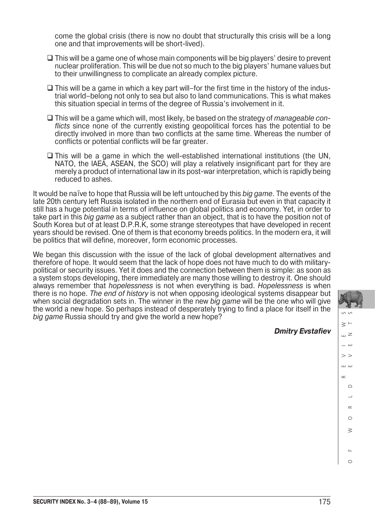come the global crisis (there is now no doubt that structurally this crisis will be a long one and that improvements will be short-lived).

- $\square$  This will be a game one of whose main components will be big players' desire to prevent nuclear proliferation. This will be due not so much to the big players' humane values but to their unwillingness to complicate an already complex picture.
- □ This will be a game in which a key part will-for the first time in the history of the industrial world–belong not only to sea but also to land communications. This is what makes this situation special in terms of the degree of Russia's involvement in it.
- This will be a game which will, most likely, be based on the strategy of *manageable conflicts* since none of the currently existing geopolitical forces has the potential to be directly involved in more than two conflicts at the same time. Whereas the number of conflicts or potential conflicts will be far greater.
- □ This will be a game in which the well-established international institutions (the UN, NATO, the IAEA, ASEAN, the SCO) will play a relatively insignificant part for they are merely a product of international law in its post-war interpretation, which is rapidly being reduced to ashes.

It would be naïve to hope that Russia will be left untouched by this *big game*. The events of the late 20th century left Russia isolated in the northern end of Eurasia but even in that capacity it still has a huge potential in terms of influence on global politics and economy. Yet, in order to take part in this *big game* as a subject rather than an object, that is to have the position not of South Korea but of at least D.P.R.K, some strange stereotypes that have developed in recent years should be revised. One of them is that economy breeds politics. In the modern era, it will be politics that will define, moreover, form economic processes.

We began this discussion with the issue of the lack of global development alternatives and therefore of hope. It would seem that the lack of hope does not have much to do with military political or security issues. Yet it does and the connection between them is simple: as soon as a system stops developing, there immediately are many those willing to destroy it. One should always remember that *hopelessness* is not when everything is bad. *Hopelessness* is when there is no hope. *The end of history* is not when opposing ideological systems disappear but when social degradation sets in. The winner in the new *big game* will be the one who will give the world a new hope. So perhaps instead of desperately trying to find a place for itself in the *big game* Russia should try and give the world a new hope?

*Dmitry Evstafiev*